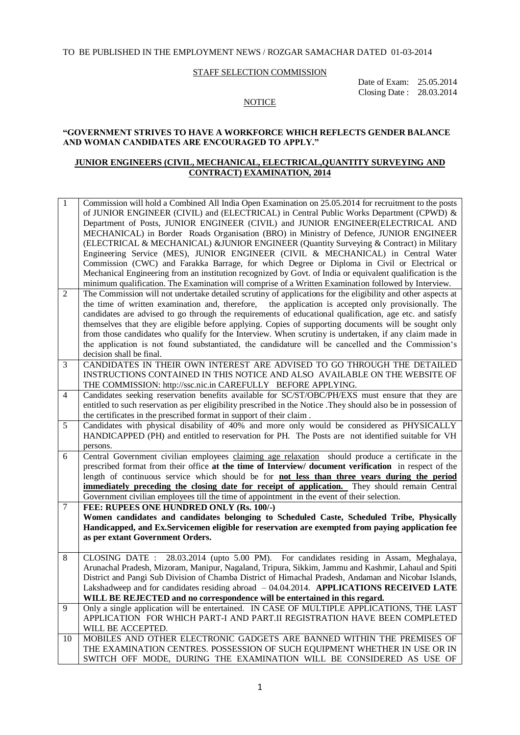#### TO BE PUBLISHED IN THE EMPLOYMENT NEWS / ROZGAR SAMACHAR DATED 01-03-2014

#### STAFF SELECTION COMMISSION

 Date of Exam: 25.05.2014 Closing Date : 28.03.2014

#### **NOTICE**

#### **"GOVERNMENT STRIVES TO HAVE A WORKFORCE WHICH REFLECTS GENDER BALANCE AND WOMAN CANDIDATES ARE ENCOURAGED TO APPLY."**

#### **JUNIOR ENGINEERS (CIVIL, MECHANICAL, ELECTRICAL,QUANTITY SURVEYING AND CONTRACT) EXAMINATION, 2014**

| $\mathbf 1$    | Commission will hold a Combined All India Open Examination on 25.05.2014 for recruitment to the posts<br>of JUNIOR ENGINEER (CIVIL) and (ELECTRICAL) in Central Public Works Department (CPWD) &<br>Department of Posts, JUNIOR ENGINEER (CIVIL) and JUNIOR ENGINEER(ELECTRICAL AND<br>MECHANICAL) in Border Roads Organisation (BRO) in Ministry of Defence, JUNIOR ENGINEER<br>(ELECTRICAL & MECHANICAL) & JUNIOR ENGINEER (Quantity Surveying & Contract) in Military<br>Engineering Service (MES), JUNIOR ENGINEER (CIVIL & MECHANICAL) in Central Water<br>Commission (CWC) and Farakka Barrage, for which Degree or Diploma in Civil or Electrical or<br>Mechanical Engineering from an institution recognized by Govt. of India or equivalent qualification is the<br>minimum qualification. The Examination will comprise of a Written Examination followed by Interview. |
|----------------|-----------------------------------------------------------------------------------------------------------------------------------------------------------------------------------------------------------------------------------------------------------------------------------------------------------------------------------------------------------------------------------------------------------------------------------------------------------------------------------------------------------------------------------------------------------------------------------------------------------------------------------------------------------------------------------------------------------------------------------------------------------------------------------------------------------------------------------------------------------------------------------|
| 2              | The Commission will not undertake detailed scrutiny of applications for the eligibility and other aspects at<br>the time of written examination and, therefore, the application is accepted only provisionally. The<br>candidates are advised to go through the requirements of educational qualification, age etc. and satisfy<br>themselves that they are eligible before applying. Copies of supporting documents will be sought only<br>from those candidates who qualify for the Interview. When scrutiny is undertaken, if any claim made in<br>the application is not found substantiated, the candidature will be cancelled and the Commission's<br>decision shall be final.                                                                                                                                                                                              |
| 3              | CANDIDATES IN THEIR OWN INTEREST ARE ADVISED TO GO THROUGH THE DETAILED<br>INSTRUCTIONS CONTAINED IN THIS NOTICE AND ALSO AVAILABLE ON THE WEBSITE OF<br>THE COMMISSION: http://ssc.nic.in CAREFULLY BEFORE APPLYING.                                                                                                                                                                                                                                                                                                                                                                                                                                                                                                                                                                                                                                                             |
| $\overline{4}$ | Candidates seeking reservation benefits available for SC/ST/OBC/PH/EXS must ensure that they are<br>entitled to such reservation as per eligibility prescribed in the Notice . They should also be in possession of<br>the certificates in the prescribed format in support of their claim.                                                                                                                                                                                                                                                                                                                                                                                                                                                                                                                                                                                       |
| 5              | Candidates with physical disability of 40% and more only would be considered as PHYSICALLY<br>HANDICAPPED (PH) and entitled to reservation for PH. The Posts are not identified suitable for VH<br>persons.                                                                                                                                                                                                                                                                                                                                                                                                                                                                                                                                                                                                                                                                       |
| 6              | Central Government civilian employees claiming age relaxation should produce a certificate in the<br>prescribed format from their office at the time of Interview/ document verification in respect of the<br>length of continuous service which should be for <b>not less than three years during the period</b><br><b>immediately preceding the closing date for receipt of application.</b> They should remain Central<br>Government civilian employees till the time of appointment in the event of their selection.                                                                                                                                                                                                                                                                                                                                                          |
| $\tau$         | FEE: RUPEES ONE HUNDRED ONLY (Rs. 100/-)<br>Women candidates and candidates belonging to Scheduled Caste, Scheduled Tribe, Physically<br>Handicapped, and Ex.Servicemen eligible for reservation are exempted from paying application fee<br>as per extant Government Orders.                                                                                                                                                                                                                                                                                                                                                                                                                                                                                                                                                                                                     |
| 8              | CLOSING DATE: 28.03.2014 (upto 5.00 PM). For candidates residing in Assam, Meghalaya,<br>Arunachal Pradesh, Mizoram, Manipur, Nagaland, Tripura, Sikkim, Jammu and Kashmir, Lahaul and Spiti<br>District and Pangi Sub Division of Chamba District of Himachal Pradesh, Andaman and Nicobar Islands,<br>Lakshadweep and for candidates residing abroad - 04.04.2014. APPLICATIONS RECEIVED LATE<br>WILL BE REJECTED and no correspondence will be entertained in this regard.                                                                                                                                                                                                                                                                                                                                                                                                     |
| 9              | Only a single application will be entertained. IN CASE OF MULTIPLE APPLICATIONS, THE LAST<br>APPLICATION FOR WHICH PART-I AND PART.II REGISTRATION HAVE BEEN COMPLETED<br>WILL BE ACCEPTED.                                                                                                                                                                                                                                                                                                                                                                                                                                                                                                                                                                                                                                                                                       |
| 10             | MOBILES AND OTHER ELECTRONIC GADGETS ARE BANNED WITHIN THE PREMISES OF<br>THE EXAMINATION CENTRES. POSSESSION OF SUCH EQUIPMENT WHETHER IN USE OR IN<br>SWITCH OFF MODE, DURING THE EXAMINATION WILL BE CONSIDERED AS USE OF                                                                                                                                                                                                                                                                                                                                                                                                                                                                                                                                                                                                                                                      |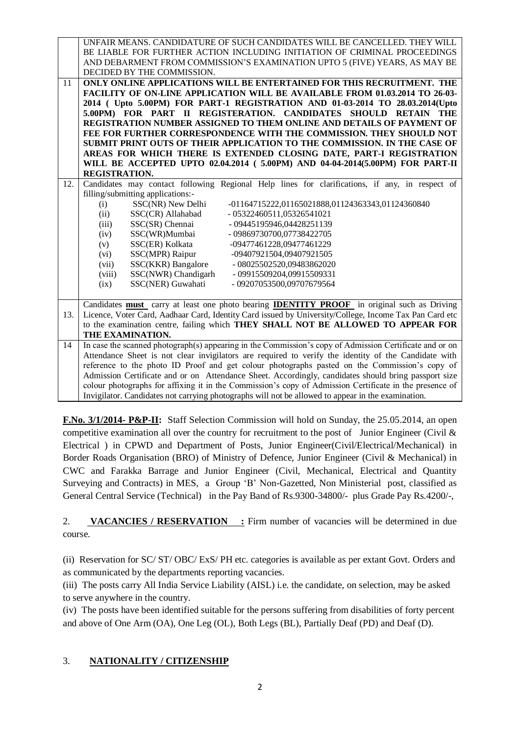|     | UNFAIR MEANS. CANDIDATURE OF SUCH CANDIDATES WILL BE CANCELLED. THEY WILL                                 |     |
|-----|-----------------------------------------------------------------------------------------------------------|-----|
|     | BE LIABLE FOR FURTHER ACTION INCLUDING INITIATION OF CRIMINAL PROCEEDINGS                                 |     |
|     | AND DEBARMENT FROM COMMISSION'S EXAMINATION UPTO 5 (FIVE) YEARS, AS MAY BE                                |     |
|     | DECIDED BY THE COMMISSION.                                                                                |     |
| 11  | ONLY ONLINE APPLICATIONS WILL BE ENTERTAINED FOR THIS RECRUITMENT. THE                                    |     |
|     | FACILITY OF ON-LINE APPLICATION WILL BE AVAILABLE FROM 01.03.2014 TO 26-03-                               |     |
|     | 2014 ( Upto 5.00PM) FOR PART-1 REGISTRATION AND 01-03-2014 TO 28.03.2014 (Upto                            |     |
|     | 5.00PM) FOR PART II REGISTERATION. CANDIDATES SHOULD RETAIN                                               | THE |
|     | REGISTRATION NUMBER ASSIGNED TO THEM ONLINE AND DETAILS OF PAYMENT OF                                     |     |
|     | FEE FOR FURTHER CORRESPONDENCE WITH THE COMMISSION. THEY SHOULD NOT                                       |     |
|     | SUBMIT PRINT OUTS OF THEIR APPLICATION TO THE COMMISSION. IN THE CASE OF                                  |     |
|     | AREAS FOR WHICH THERE IS EXTENDED CLOSING DATE, PART-I REGISTRATION                                       |     |
|     | WILL BE ACCEPTED UPTO 02.04.2014 (5.00PM) AND 04-04-2014(5.00PM) FOR PART-II                              |     |
|     | REGISTRATION.                                                                                             |     |
| 12. | Candidates may contact following Regional Help lines for clarifications, if any, in respect of            |     |
|     | filling/submitting applications:-                                                                         |     |
|     | SSC(NR) New Delhi<br>-01164715222,01165021888,01124363343,01124360840<br>(i)                              |     |
|     | SSC(CR) Allahabad<br>(ii)<br>- 05322460511,05326541021                                                    |     |
|     | SSC(SR) Chennai<br>- 09445195946,04428251139<br>(iii)                                                     |     |
|     | SSC(WR)Mumbai<br>- 09869730700,07738422705<br>(iv)                                                        |     |
|     | SSC(ER) Kolkata<br>-09477461228,09477461229<br>(v)                                                        |     |
|     | SSC(MPR) Raipur<br>(vi)<br>-09407921504,09407921505                                                       |     |
|     | SSC(KKR) Bangalore<br>(vii)<br>- 08025502520,09483862020                                                  |     |
|     | SSC(NWR) Chandigarh<br>(viii)<br>- 09915509204,09915509331                                                |     |
|     | SSC(NER) Guwahati<br>- 09207053500,09707679564<br>(ix)                                                    |     |
|     |                                                                                                           |     |
|     | Candidates <b>must</b> carry at least one photo bearing <b>IDENTITY PROOF</b> in original such as Driving |     |
| 13. | Licence, Voter Card, Aadhaar Card, Identity Card issued by University/College, Income Tax Pan Card etc    |     |
|     | to the examination centre, failing which THEY SHALL NOT BE ALLOWED TO APPEAR FOR                          |     |
|     | THE EXAMINATION.                                                                                          |     |
| 14  | In case the scanned photograph(s) appearing in the Commission's copy of Admission Certificate and or on   |     |
|     | Attendance Sheet is not clear invigilators are required to verify the identity of the Candidate with      |     |
|     | reference to the photo ID Proof and get colour photographs pasted on the Commission's copy of             |     |
|     | Admission Certificate and or on Attendance Sheet. Accordingly, candidates should bring passport size      |     |
|     | colour photographs for affixing it in the Commission's copy of Admission Certificate in the presence of   |     |
|     | Invigilator. Candidates not carrying photographs will not be allowed to appear in the examination.        |     |

**F.No. 3/1/2014- P&P-II:** Staff Selection Commission will hold on Sunday, the 25.05.2014, an open competitive examination all over the country for recruitment to the post of Junior Engineer (Civil & Electrical ) in CPWD and Department of Posts, Junior Engineer(Civil/Electrical/Mechanical) in Border Roads Organisation (BRO) of Ministry of Defence, Junior Engineer (Civil & Mechanical) in CWC and Farakka Barrage and Junior Engineer (Civil, Mechanical, Electrical and Quantity Surveying and Contracts) in MES, a Group 'B' Non-Gazetted, Non Ministerial post, classified as General Central Service (Technical) in the Pay Band of Rs.9300-34800/- plus Grade Pay Rs.4200/-,

2. **VACANCIES / RESERVATION** : Firm number of vacancies will be determined in due course.

(ii) Reservation for SC/ ST/ OBC/ ExS/ PH etc. categories is available as per extant Govt. Orders and as communicated by the departments reporting vacancies.

(iii) The posts carry All India Service Liability (AISL) i.e. the candidate, on selection, may be asked to serve anywhere in the country.

(iv) The posts have been identified suitable for the persons suffering from disabilities of forty percent and above of One Arm (OA), One Leg (OL), Both Legs (BL), Partially Deaf (PD) and Deaf (D).

### 3. **NATIONALITY / CITIZENSHIP**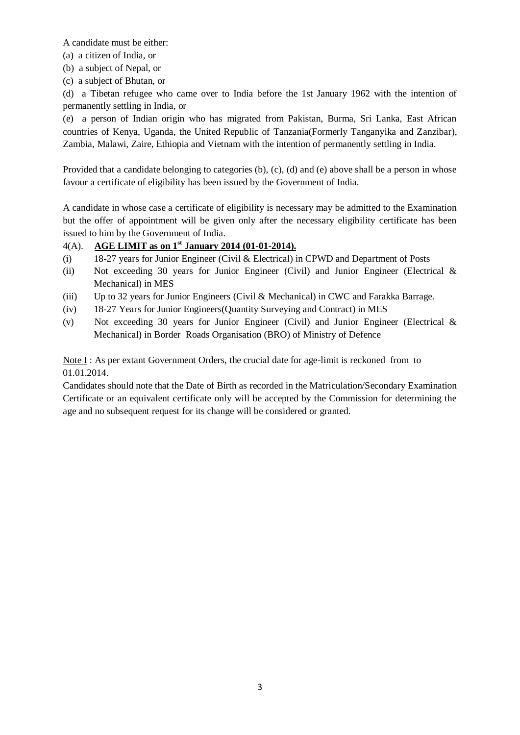A candidate must be either:

- (a) a citizen of India, or
- (b) a subject of Nepal, or
- (c) a subject of Bhutan, or

(d) a Tibetan refugee who came over to India before the 1st January 1962 with the intention of permanently settling in India, or

(e) a person of Indian origin who has migrated from Pakistan, Burma, Sri Lanka, East African countries of Kenya, Uganda, the United Republic of Tanzania(Formerly Tanganyika and Zanzibar), Zambia, Malawi, Zaire, Ethiopia and Vietnam with the intention of permanently settling in India.

Provided that a candidate belonging to categories (b), (c), (d) and (e) above shall be a person in whose favour a certificate of eligibility has been issued by the Government of India.

A candidate in whose case a certificate of eligibility is necessary may be admitted to the Examination but the offer of appointment will be given only after the necessary eligibility certificate has been issued to him by the Government of India.

# 4(A). **AGE LIMIT as on 1st January 2014 (01-01-2014).**

- (i) 18-27 years for Junior Engineer (Civil & Electrical) in CPWD and Department of Posts
- (ii) Not exceeding 30 years for Junior Engineer (Civil) and Junior Engineer (Electrical & Mechanical) in MES
- (iii) Up to 32 years for Junior Engineers (Civil & Mechanical) in CWC and Farakka Barrage.
- (iv) 18-27 Years for Junior Engineers(Quantity Surveying and Contract) in MES
- (v) Not exceeding 30 years for Junior Engineer (Civil) and Junior Engineer (Electrical & Mechanical) in Border Roads Organisation (BRO) of Ministry of Defence

Note I : As per extant Government Orders, the crucial date for age-limit is reckoned from to 01.01.2014.

Candidates should note that the Date of Birth as recorded in the Matriculation/Secondary Examination Certificate or an equivalent certificate only will be accepted by the Commission for determining the age and no subsequent request for its change will be considered or granted.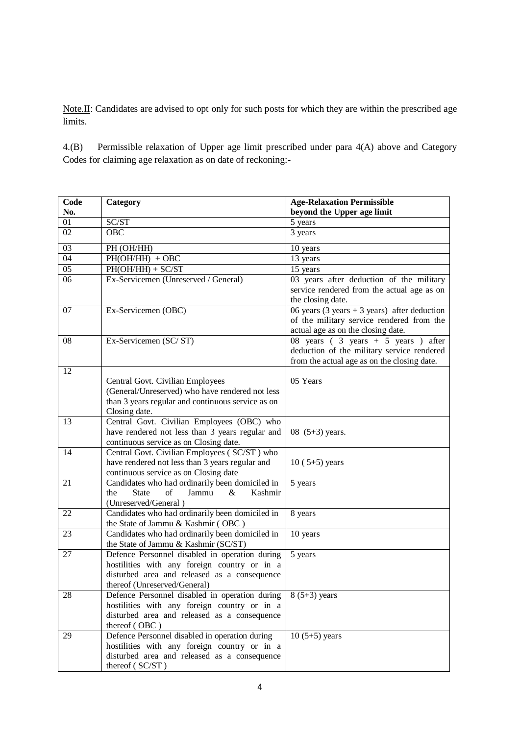Note.II: Candidates are advised to opt only for such posts for which they are within the prescribed age limits.

4.(B) Permissible relaxation of Upper age limit prescribed under para 4(A) above and Category Codes for claiming age relaxation as on date of reckoning:-

| Code            | Category                                                                                      | <b>Age-Relaxation Permissible</b>                                                                                                   |
|-----------------|-----------------------------------------------------------------------------------------------|-------------------------------------------------------------------------------------------------------------------------------------|
| No.             |                                                                                               | beyond the Upper age limit                                                                                                          |
| 01              | SC/ST                                                                                         | 5 years                                                                                                                             |
| 02              | <b>OBC</b>                                                                                    | 3 years                                                                                                                             |
| 03              | PH (OH/HH)                                                                                    | 10 years                                                                                                                            |
| $\overline{04}$ | $PH(OH/HH) + OBC$                                                                             | 13 years                                                                                                                            |
| $\overline{05}$ | $PH(OH/HH) + SC/ST$                                                                           | 15 years                                                                                                                            |
| $\overline{06}$ | Ex-Servicemen (Unreserved / General)                                                          | 03 years after deduction of the military<br>service rendered from the actual age as on<br>the closing date.                         |
| 07              | Ex-Servicemen (OBC)                                                                           | 06 years (3 years + 3 years) after deduction<br>of the military service rendered from the<br>actual age as on the closing date.     |
| 08              | Ex-Servicemen (SC/ST)                                                                         | 08 years ( $3$ years + 5 years ) after<br>deduction of the military service rendered<br>from the actual age as on the closing date. |
| 12              |                                                                                               |                                                                                                                                     |
|                 | Central Govt. Civilian Employees                                                              | 05 Years                                                                                                                            |
|                 | (General/Unreserved) who have rendered not less                                               |                                                                                                                                     |
|                 | than 3 years regular and continuous service as on                                             |                                                                                                                                     |
|                 | Closing date.                                                                                 |                                                                                                                                     |
| 13              | Central Govt. Civilian Employees (OBC) who<br>have rendered not less than 3 years regular and | 08 $(5+3)$ years.                                                                                                                   |
|                 | continuous service as on Closing date.                                                        |                                                                                                                                     |
| 14              | Central Govt. Civilian Employees (SC/ST) who                                                  |                                                                                                                                     |
|                 | have rendered not less than 3 years regular and                                               | $10(5+5)$ years                                                                                                                     |
|                 | continuous service as on Closing date                                                         |                                                                                                                                     |
| 21              | Candidates who had ordinarily been domiciled in                                               | 5 years                                                                                                                             |
|                 | <b>State</b><br>of<br>Jammu<br>$\&$<br>Kashmir<br>the                                         |                                                                                                                                     |
|                 | (Unreserved/General)                                                                          |                                                                                                                                     |
| 22              | Candidates who had ordinarily been domiciled in                                               | 8 years                                                                                                                             |
|                 | the State of Jammu & Kashmir (OBC)                                                            |                                                                                                                                     |
| 23              | Candidates who had ordinarily been domiciled in                                               | 10 years                                                                                                                            |
|                 | the State of Jammu & Kashmir (SC/ST)                                                          |                                                                                                                                     |
| 27              | Defence Personnel disabled in operation during                                                | 5 years                                                                                                                             |
|                 | hostilities with any foreign country or in a                                                  |                                                                                                                                     |
|                 | disturbed area and released as a consequence                                                  |                                                                                                                                     |
|                 | thereof (Unreserved/General)                                                                  |                                                                                                                                     |
| 28              | Defence Personnel disabled in operation during                                                | $8(5+3)$ years                                                                                                                      |
|                 | hostilities with any foreign country or in a<br>disturbed area and released as a consequence  |                                                                                                                                     |
|                 | thereof (OBC)                                                                                 |                                                                                                                                     |
| 29              | Defence Personnel disabled in operation during                                                | $10(5+5)$ years                                                                                                                     |
|                 | hostilities with any foreign country or in a                                                  |                                                                                                                                     |
|                 | disturbed area and released as a consequence                                                  |                                                                                                                                     |
|                 | thereof (SC/ST)                                                                               |                                                                                                                                     |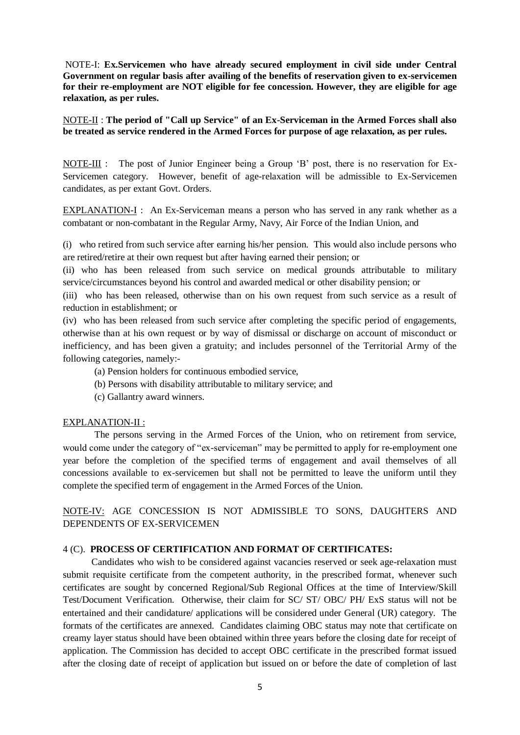NOTE-I: **Ex.Servicemen who have already secured employment in civil side under Central Government on regular basis after availing of the benefits of reservation given to ex-servicemen for their re-employment are NOT eligible for fee concession. However, they are eligible for age relaxation, as per rules.**

NOTE-II : **The period of "Call up Service" of an Ex-Serviceman in the Armed Forces shall also be treated as service rendered in the Armed Forces for purpose of age relaxation, as per rules.**

NOTE-III : The post of Junior Engineer being a Group 'B' post, there is no reservation for Ex-Servicemen category. However, benefit of age-relaxation will be admissible to Ex-Servicemen candidates, as per extant Govt. Orders.

EXPLANATION-I : An Ex-Serviceman means a person who has served in any rank whether as a combatant or non-combatant in the Regular Army, Navy, Air Force of the Indian Union, and

(i) who retired from such service after earning his/her pension. This would also include persons who are retired/retire at their own request but after having earned their pension; or

(ii) who has been released from such service on medical grounds attributable to military service/circumstances beyond his control and awarded medical or other disability pension; or

(iii) who has been released, otherwise than on his own request from such service as a result of reduction in establishment; or

(iv) who has been released from such service after completing the specific period of engagements, otherwise than at his own request or by way of dismissal or discharge on account of misconduct or inefficiency, and has been given a gratuity; and includes personnel of the Territorial Army of the following categories, namely:-

- (a) Pension holders for continuous embodied service,
- (b) Persons with disability attributable to military service; and
- (c) Gallantry award winners.

#### EXPLANATION-II :

The persons serving in the Armed Forces of the Union, who on retirement from service, would come under the category of "ex-serviceman" may be permitted to apply for re-employment one year before the completion of the specified terms of engagement and avail themselves of all concessions available to ex-servicemen but shall not be permitted to leave the uniform until they complete the specified term of engagement in the Armed Forces of the Union.

NOTE-IV: AGE CONCESSION IS NOT ADMISSIBLE TO SONS, DAUGHTERS AND DEPENDENTS OF EX-SERVICEMEN

#### 4 (C). **PROCESS OF CERTIFICATION AND FORMAT OF CERTIFICATES:**

 Candidates who wish to be considered against vacancies reserved or seek age-relaxation must submit requisite certificate from the competent authority, in the prescribed format, whenever such certificates are sought by concerned Regional/Sub Regional Offices at the time of Interview/Skill Test/Document Verification. Otherwise, their claim for SC/ ST/ OBC/ PH/ ExS status will not be entertained and their candidature/ applications will be considered under General (UR) category. The formats of the certificates are annexed. Candidates claiming OBC status may note that certificate on creamy layer status should have been obtained within three years before the closing date for receipt of application. The Commission has decided to accept OBC certificate in the prescribed format issued after the closing date of receipt of application but issued on or before the date of completion of last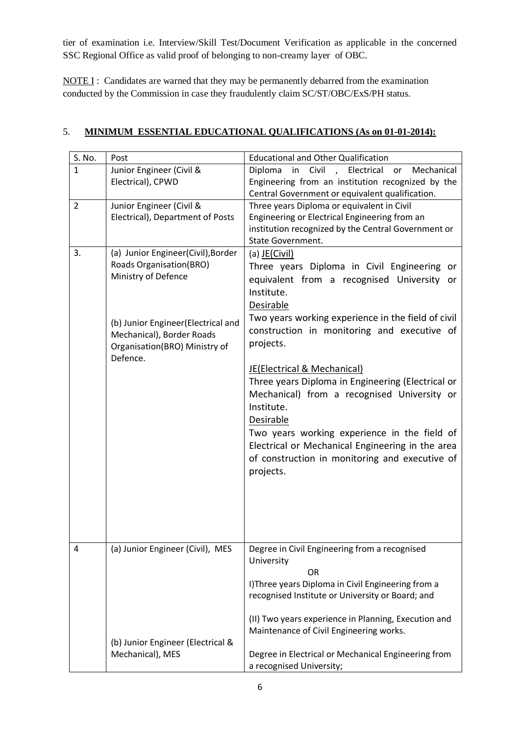tier of examination i.e. Interview/Skill Test/Document Verification as applicable in the concerned SSC Regional Office as valid proof of belonging to non-creamy layer of OBC.

NOTE I : Candidates are warned that they may be permanently debarred from the examination conducted by the Commission in case they fraudulently claim SC/ST/OBC/ExS/PH status.

| S. No.         | Post                                      | <b>Educational and Other Qualification</b>           |
|----------------|-------------------------------------------|------------------------------------------------------|
| $\mathbf{1}$   | Junior Engineer (Civil &                  | in Civil , Electrical<br>Diploma<br>Mechanical<br>or |
|                | Electrical), CPWD                         | Engineering from an institution recognized by the    |
|                |                                           | Central Government or equivalent qualification.      |
| $\overline{2}$ | Junior Engineer (Civil &                  | Three years Diploma or equivalent in Civil           |
|                | Electrical), Department of Posts          | Engineering or Electrical Engineering from an        |
|                |                                           | institution recognized by the Central Government or  |
|                |                                           | State Government.                                    |
| 3.             | (a) Junior Engineer(Civil), Border        | (a) $JE(Civil)$                                      |
|                | <b>Roads Organisation(BRO)</b>            | Three years Diploma in Civil Engineering or          |
|                | Ministry of Defence                       | equivalent from a recognised University or           |
|                |                                           | Institute.                                           |
|                |                                           | Desirable                                            |
|                |                                           | Two years working experience in the field of civil   |
|                | (b) Junior Engineer (Electrical and       | construction in monitoring and executive of          |
|                | Mechanical), Border Roads                 | projects.                                            |
|                | Organisation(BRO) Ministry of<br>Defence. |                                                      |
|                |                                           | JE(Electrical & Mechanical)                          |
|                |                                           | Three years Diploma in Engineering (Electrical or    |
|                |                                           |                                                      |
|                |                                           | Mechanical) from a recognised University or          |
|                |                                           | Institute.                                           |
|                |                                           | <b>Desirable</b>                                     |
|                |                                           | Two years working experience in the field of         |
|                |                                           | Electrical or Mechanical Engineering in the area     |
|                |                                           | of construction in monitoring and executive of       |
|                |                                           | projects.                                            |
|                |                                           |                                                      |
|                |                                           |                                                      |
|                |                                           |                                                      |
|                |                                           |                                                      |
|                |                                           |                                                      |
| 4              | (a) Junior Engineer (Civil), MES          | Degree in Civil Engineering from a recognised        |
|                |                                           | University                                           |
|                |                                           | <b>OR</b>                                            |
|                |                                           | I) Three years Diploma in Civil Engineering from a   |
|                |                                           | recognised Institute or University or Board; and     |
|                |                                           |                                                      |
|                |                                           | (II) Two years experience in Planning, Execution and |
|                |                                           | Maintenance of Civil Engineering works.              |
|                | (b) Junior Engineer (Electrical &         |                                                      |
|                | Mechanical), MES                          | Degree in Electrical or Mechanical Engineering from  |
|                |                                           | a recognised University;                             |

# 5. **MINIMUM ESSENTIAL EDUCATIONAL QUALIFICATIONS (As on 01-01-2014):**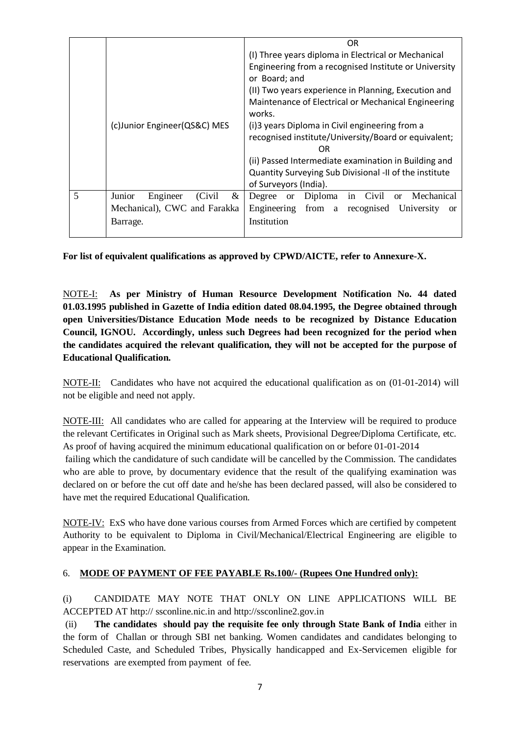|   |                                    | 0R                                                           |  |  |  |  |
|---|------------------------------------|--------------------------------------------------------------|--|--|--|--|
|   |                                    | (I) Three years diploma in Electrical or Mechanical          |  |  |  |  |
|   |                                    | Engineering from a recognised Institute or University        |  |  |  |  |
|   |                                    | or Board; and                                                |  |  |  |  |
|   |                                    | (II) Two years experience in Planning, Execution and         |  |  |  |  |
|   |                                    | Maintenance of Electrical or Mechanical Engineering          |  |  |  |  |
|   |                                    | works.                                                       |  |  |  |  |
|   | (c) Junior Engineer (QS&C) MES     | (i) 3 years Diploma in Civil engineering from a              |  |  |  |  |
|   |                                    | recognised institute/University/Board or equivalent;         |  |  |  |  |
|   |                                    | OR                                                           |  |  |  |  |
|   |                                    | (ii) Passed Intermediate examination in Building and         |  |  |  |  |
|   |                                    | Quantity Surveying Sub Divisional -II of the institute       |  |  |  |  |
|   |                                    | of Surveyors (India).                                        |  |  |  |  |
| 5 | Junior<br>&<br>(Civil)<br>Engineer | Mechanical<br>or Diploma in Civil<br>Degree<br><sub>or</sub> |  |  |  |  |
|   | Mechanical), CWC and Farakka       | Engineering from a recognised University<br><sub>or</sub>    |  |  |  |  |
|   | Barrage.                           | Institution                                                  |  |  |  |  |
|   |                                    |                                                              |  |  |  |  |

**For list of equivalent qualifications as approved by CPWD/AICTE, refer to Annexure-X.** 

NOTE-I: **As per Ministry of Human Resource Development Notification No. 44 dated 01.03.1995 published in Gazette of India edition dated 08.04.1995, the Degree obtained through open Universities/Distance Education Mode needs to be recognized by Distance Education Council, IGNOU. Accordingly, unless such Degrees had been recognized for the period when the candidates acquired the relevant qualification, they will not be accepted for the purpose of Educational Qualification.**

NOTE-II: Candidates who have not acquired the educational qualification as on (01-01-2014) will not be eligible and need not apply.

NOTE-III: All candidates who are called for appearing at the Interview will be required to produce the relevant Certificates in Original such as Mark sheets, Provisional Degree/Diploma Certificate, etc. As proof of having acquired the minimum educational qualification on or before 01-01-2014 failing which the candidature of such candidate will be cancelled by the Commission. The candidates who are able to prove, by documentary evidence that the result of the qualifying examination was declared on or before the cut off date and he/she has been declared passed, will also be considered to have met the required Educational Qualification.

NOTE-IV: ExS who have done various courses from Armed Forces which are certified by competent Authority to be equivalent to Diploma in Civil/Mechanical/Electrical Engineering are eligible to appear in the Examination.

### 6. **MODE OF PAYMENT OF FEE PAYABLE Rs.100/- (Rupees One Hundred only):**

(i) CANDIDATE MAY NOTE THAT ONLY ON LINE APPLICATIONS WILL BE ACCEPTED AT http:// ssconline.nic.in and http://ssconline2.gov.in

(ii) **The candidates should pay the requisite fee only through State Bank of India** either in the form of Challan or through SBI net banking. Women candidates and candidates belonging to Scheduled Caste, and Scheduled Tribes, Physically handicapped and Ex-Servicemen eligible for reservations are exempted from payment of fee.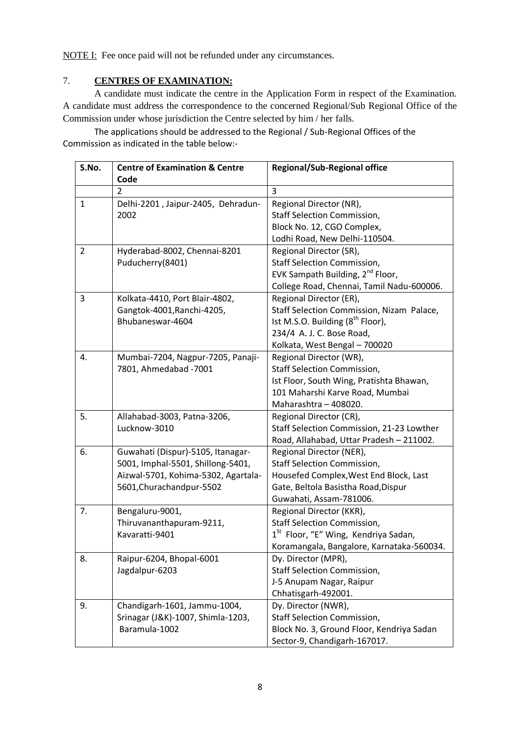NOTE I: Fee once paid will not be refunded under any circumstances.

## 7. **CENTRES OF EXAMINATION:**

A candidate must indicate the centre in the Application Form in respect of the Examination. A candidate must address the correspondence to the concerned Regional/Sub Regional Office of the Commission under whose jurisdiction the Centre selected by him / her falls.

The applications should be addressed to the Regional / Sub-Regional Offices of the Commission as indicated in the table below:-

| S.No.          | <b>Centre of Examination &amp; Centre</b> | <b>Regional/Sub-Regional office</b>              |
|----------------|-------------------------------------------|--------------------------------------------------|
|                | Code                                      |                                                  |
|                | $\overline{2}$                            | 3                                                |
| $\mathbf{1}$   | Delhi-2201, Jaipur-2405, Dehradun-        | Regional Director (NR),                          |
|                | 2002                                      | <b>Staff Selection Commission,</b>               |
|                |                                           | Block No. 12, CGO Complex,                       |
|                |                                           | Lodhi Road, New Delhi-110504.                    |
| $\overline{2}$ | Hyderabad-8002, Chennai-8201              | Regional Director (SR),                          |
|                | Puducherry(8401)                          | <b>Staff Selection Commission,</b>               |
|                |                                           | EVK Sampath Building, 2 <sup>nd</sup> Floor,     |
|                |                                           | College Road, Chennai, Tamil Nadu-600006.        |
| 3              | Kolkata-4410, Port Blair-4802,            | Regional Director (ER),                          |
|                | Gangtok-4001, Ranchi-4205,                | Staff Selection Commission, Nizam Palace,        |
|                | Bhubaneswar-4604                          | Ist M.S.O. Building (8 <sup>th</sup> Floor),     |
|                |                                           | 234/4 A. J. C. Bose Road,                        |
|                |                                           | Kolkata, West Bengal - 700020                    |
| 4.             | Mumbai-7204, Nagpur-7205, Panaji-         | Regional Director (WR),                          |
|                | 7801, Ahmedabad - 7001                    | <b>Staff Selection Commission,</b>               |
|                |                                           | Ist Floor, South Wing, Pratishta Bhawan,         |
|                |                                           | 101 Maharshi Karve Road, Mumbai                  |
|                |                                           | Maharashtra - 408020.                            |
| 5.             | Allahabad-3003, Patna-3206,               | Regional Director (CR),                          |
|                | Lucknow-3010                              | Staff Selection Commission, 21-23 Lowther        |
|                |                                           | Road, Allahabad, Uttar Pradesh - 211002.         |
| 6.             | Guwahati (Dispur)-5105, Itanagar-         | Regional Director (NER),                         |
|                | 5001, Imphal-5501, Shillong-5401,         | <b>Staff Selection Commission,</b>               |
|                | Aizwal-5701, Kohima-5302, Agartala-       | Housefed Complex, West End Block, Last           |
|                | 5601, Churachandpur-5502                  | Gate, Beltola Basistha Road, Dispur              |
|                |                                           | Guwahati, Assam-781006.                          |
| 7.             | Bengaluru-9001,                           | Regional Director (KKR),                         |
|                | Thiruvananthapuram-9211,                  | <b>Staff Selection Commission,</b>               |
|                | Kavaratti-9401                            | 1 <sup>st</sup> Floor, "E" Wing, Kendriya Sadan, |
|                |                                           | Koramangala, Bangalore, Karnataka-560034.        |
| 8.             | Raipur-6204, Bhopal-6001                  | Dy. Director (MPR),                              |
|                | Jagdalpur-6203                            | <b>Staff Selection Commission,</b>               |
|                |                                           | J-5 Anupam Nagar, Raipur                         |
|                |                                           | Chhatisgarh-492001.                              |
| 9.             | Chandigarh-1601, Jammu-1004,              | Dy. Director (NWR),                              |
|                | Srinagar (J&K)-1007, Shimla-1203,         | <b>Staff Selection Commission,</b>               |
|                | Baramula-1002                             | Block No. 3, Ground Floor, Kendriya Sadan        |
|                |                                           | Sector-9, Chandigarh-167017.                     |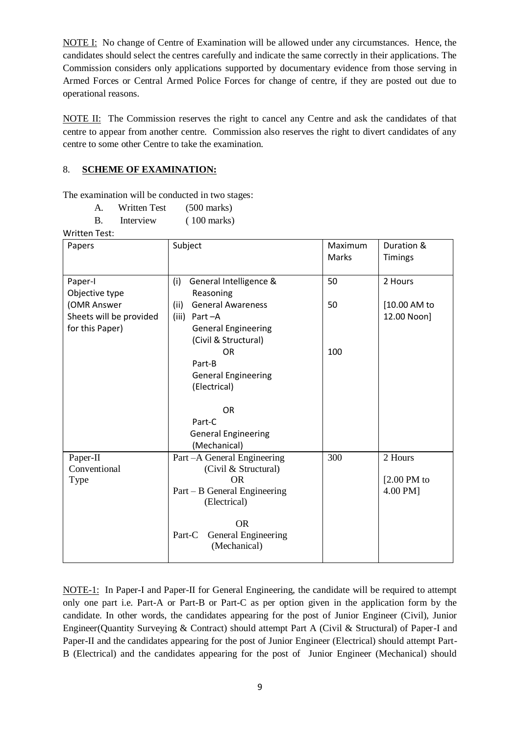NOTE I: No change of Centre of Examination will be allowed under any circumstances. Hence, the candidates should select the centres carefully and indicate the same correctly in their applications. The Commission considers only applications supported by documentary evidence from those serving in Armed Forces or Central Armed Police Forces for change of centre, if they are posted out due to operational reasons.

NOTE II: The Commission reserves the right to cancel any Centre and ask the candidates of that centre to appear from another centre. Commission also reserves the right to divert candidates of any centre to some other Centre to take the examination.

## 8. **SCHEME OF EXAMINATION:**

The examination will be conducted in two stages:

| А. | Written Test | $(500 \text{ marks})$ |
|----|--------------|-----------------------|
|    |              |                       |

B. Interview (100 marks)

Written Test:

| Papers                                                    | Subject                                                                                                           | Maximum<br><b>Marks</b> | Duration &<br><b>Timings</b>         |
|-----------------------------------------------------------|-------------------------------------------------------------------------------------------------------------------|-------------------------|--------------------------------------|
| Paper-I<br>Objective type                                 | (i)<br>General Intelligence &<br>Reasoning                                                                        | 50                      | 2 Hours                              |
| (OMR Answer<br>Sheets will be provided<br>for this Paper) | <b>General Awareness</b><br>(ii)<br>(iii)<br>Part-A<br><b>General Engineering</b><br>(Civil & Structural)         | 50                      | [10.00 AM to<br>12.00 Noon]          |
|                                                           | <b>OR</b><br>Part-B<br><b>General Engineering</b><br>(Electrical)                                                 | 100                     |                                      |
|                                                           | <b>OR</b>                                                                                                         |                         |                                      |
|                                                           | Part-C<br><b>General Engineering</b><br>(Mechanical)                                                              |                         |                                      |
| Paper-II<br>Conventional<br>Type                          | Part - A General Engineering<br>(Civil & Structural)<br><b>OR</b><br>Part – B General Engineering<br>(Electrical) | 300                     | 2 Hours<br>$[2.00$ PM to<br>4.00 PM] |
|                                                           | <b>OR</b><br>General Engineering<br>Part-C<br>(Mechanical)                                                        |                         |                                      |

NOTE-1: In Paper-I and Paper-II for General Engineering, the candidate will be required to attempt only one part i.e. Part-A or Part-B or Part-C as per option given in the application form by the candidate. In other words, the candidates appearing for the post of Junior Engineer (Civil), Junior Engineer(Quantity Surveying & Contract) should attempt Part A (Civil & Structural) of Paper-I and Paper-II and the candidates appearing for the post of Junior Engineer (Electrical) should attempt Part-B (Electrical) and the candidates appearing for the post of Junior Engineer (Mechanical) should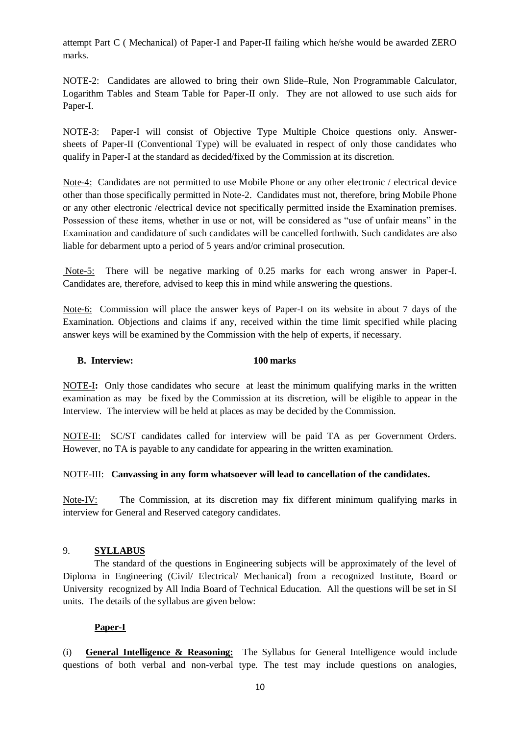attempt Part C ( Mechanical) of Paper-I and Paper-II failing which he/she would be awarded ZERO marks.

NOTE-2: Candidates are allowed to bring their own Slide–Rule, Non Programmable Calculator, Logarithm Tables and Steam Table for Paper-II only. They are not allowed to use such aids for Paper-I.

NOTE-3: Paper-I will consist of Objective Type Multiple Choice questions only. Answersheets of Paper-II (Conventional Type) will be evaluated in respect of only those candidates who qualify in Paper-I at the standard as decided/fixed by the Commission at its discretion.

Note-4: Candidates are not permitted to use Mobile Phone or any other electronic / electrical device other than those specifically permitted in Note-2. Candidates must not, therefore, bring Mobile Phone or any other electronic /electrical device not specifically permitted inside the Examination premises. Possession of these items, whether in use or not, will be considered as "use of unfair means" in the Examination and candidature of such candidates will be cancelled forthwith. Such candidates are also liable for debarment upto a period of 5 years and/or criminal prosecution.

Note-5: There will be negative marking of 0.25 marks for each wrong answer in Paper-I. Candidates are, therefore, advised to keep this in mind while answering the questions.

Note-6: Commission will place the answer keys of Paper-I on its website in about 7 days of the Examination. Objections and claims if any, received within the time limit specified while placing answer keys will be examined by the Commission with the help of experts, if necessary.

#### **B. Interview: 100 marks**

NOTE-I**:** Only those candidates who secure at least the minimum qualifying marks in the written examination as may be fixed by the Commission at its discretion, will be eligible to appear in the Interview. The interview will be held at places as may be decided by the Commission.

NOTE-II: SC/ST candidates called for interview will be paid TA as per Government Orders. However, no TA is payable to any candidate for appearing in the written examination.

#### NOTE-III: **Canvassing in any form whatsoever will lead to cancellation of the candidates.**

Note-IV: The Commission, at its discretion may fix different minimum qualifying marks in interview for General and Reserved category candidates.

### 9. **SYLLABUS**

The standard of the questions in Engineering subjects will be approximately of the level of Diploma in Engineering (Civil/ Electrical/ Mechanical) from a recognized Institute, Board or University recognized by All India Board of Technical Education. All the questions will be set in SI units. The details of the syllabus are given below:

### **Paper-I**

(i) **General Intelligence & Reasoning:** The Syllabus for General Intelligence would include questions of both verbal and non-verbal type. The test may include questions on analogies,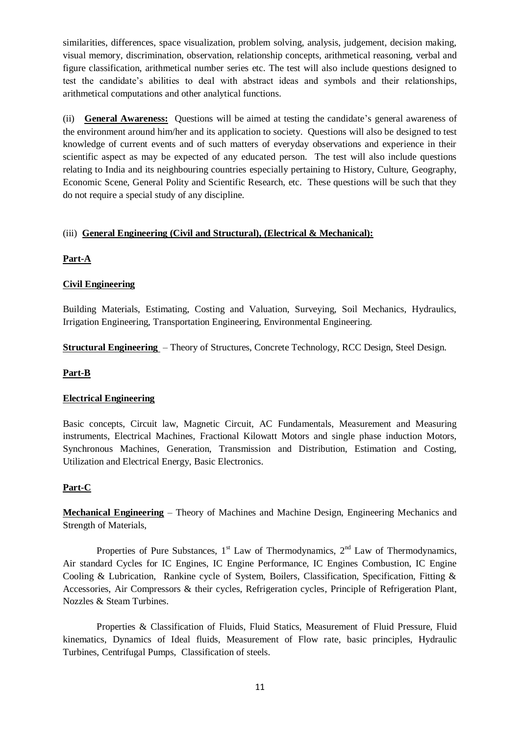similarities, differences, space visualization, problem solving, analysis, judgement, decision making, visual memory, discrimination, observation, relationship concepts, arithmetical reasoning, verbal and figure classification, arithmetical number series etc. The test will also include questions designed to test the candidate's abilities to deal with abstract ideas and symbols and their relationships, arithmetical computations and other analytical functions.

(ii) **General Awareness:** Questions will be aimed at testing the candidate's general awareness of the environment around him/her and its application to society. Questions will also be designed to test knowledge of current events and of such matters of everyday observations and experience in their scientific aspect as may be expected of any educated person. The test will also include questions relating to India and its neighbouring countries especially pertaining to History, Culture, Geography, Economic Scene, General Polity and Scientific Research, etc. These questions will be such that they do not require a special study of any discipline.

# (iii) **General Engineering (Civil and Structural), (Electrical & Mechanical):**

# **Part-A**

# **Civil Engineering**

Building Materials, Estimating, Costing and Valuation, Surveying, Soil Mechanics, Hydraulics, Irrigation Engineering, Transportation Engineering, Environmental Engineering.

**Structural Engineering** – Theory of Structures, Concrete Technology, RCC Design, Steel Design.

### **Part-B**

### **Electrical Engineering**

Basic concepts, Circuit law, Magnetic Circuit, AC Fundamentals, Measurement and Measuring instruments, Electrical Machines, Fractional Kilowatt Motors and single phase induction Motors, Synchronous Machines, Generation, Transmission and Distribution, Estimation and Costing, Utilization and Electrical Energy, Basic Electronics.

### **Part-C**

**Mechanical Engineering** – Theory of Machines and Machine Design, Engineering Mechanics and Strength of Materials,

Properties of Pure Substances,  $1<sup>st</sup>$  Law of Thermodynamics,  $2<sup>nd</sup>$  Law of Thermodynamics, Air standard Cycles for IC Engines, IC Engine Performance, IC Engines Combustion, IC Engine Cooling & Lubrication, Rankine cycle of System, Boilers, Classification, Specification, Fitting & Accessories, Air Compressors & their cycles, Refrigeration cycles, Principle of Refrigeration Plant, Nozzles & Steam Turbines.

Properties & Classification of Fluids, Fluid Statics, Measurement of Fluid Pressure, Fluid kinematics, Dynamics of Ideal fluids, Measurement of Flow rate, basic principles, Hydraulic Turbines, Centrifugal Pumps, Classification of steels.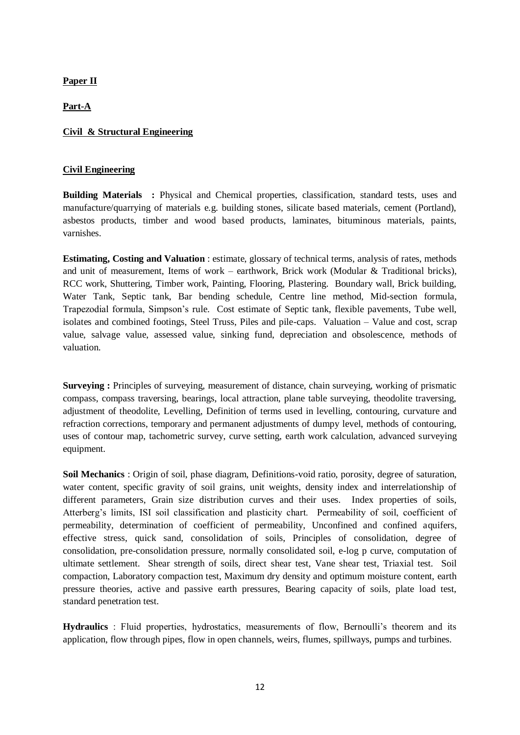**Paper II**

**Part-A**

#### **Civil & Structural Engineering**

#### **Civil Engineering**

**Building Materials :** Physical and Chemical properties, classification, standard tests, uses and manufacture/quarrying of materials e.g. building stones, silicate based materials, cement (Portland), asbestos products, timber and wood based products, laminates, bituminous materials, paints, varnishes.

**Estimating, Costing and Valuation** : estimate, glossary of technical terms, analysis of rates, methods and unit of measurement, Items of work – earthwork, Brick work (Modular  $&$  Traditional bricks), RCC work, Shuttering, Timber work, Painting, Flooring, Plastering. Boundary wall, Brick building, Water Tank, Septic tank, Bar bending schedule, Centre line method, Mid-section formula, Trapezodial formula, Simpson's rule. Cost estimate of Septic tank, flexible pavements, Tube well, isolates and combined footings, Steel Truss, Piles and pile-caps. Valuation – Value and cost, scrap value, salvage value, assessed value, sinking fund, depreciation and obsolescence, methods of valuation.

**Surveying :** Principles of surveying, measurement of distance, chain surveying, working of prismatic compass, compass traversing, bearings, local attraction, plane table surveying, theodolite traversing, adjustment of theodolite, Levelling, Definition of terms used in levelling, contouring, curvature and refraction corrections, temporary and permanent adjustments of dumpy level, methods of contouring, uses of contour map, tachometric survey, curve setting, earth work calculation, advanced surveying equipment.

**Soil Mechanics** : Origin of soil, phase diagram, Definitions-void ratio, porosity, degree of saturation, water content, specific gravity of soil grains, unit weights, density index and interrelationship of different parameters, Grain size distribution curves and their uses. Index properties of soils, Atterberg's limits, ISI soil classification and plasticity chart. Permeability of soil, coefficient of permeability, determination of coefficient of permeability, Unconfined and confined aquifers, effective stress, quick sand, consolidation of soils, Principles of consolidation, degree of consolidation, pre-consolidation pressure, normally consolidated soil, e-log p curve, computation of ultimate settlement. Shear strength of soils, direct shear test, Vane shear test, Triaxial test. Soil compaction, Laboratory compaction test, Maximum dry density and optimum moisture content, earth pressure theories, active and passive earth pressures, Bearing capacity of soils, plate load test, standard penetration test.

**Hydraulics** : Fluid properties, hydrostatics, measurements of flow, Bernoulli's theorem and its application, flow through pipes, flow in open channels, weirs, flumes, spillways, pumps and turbines.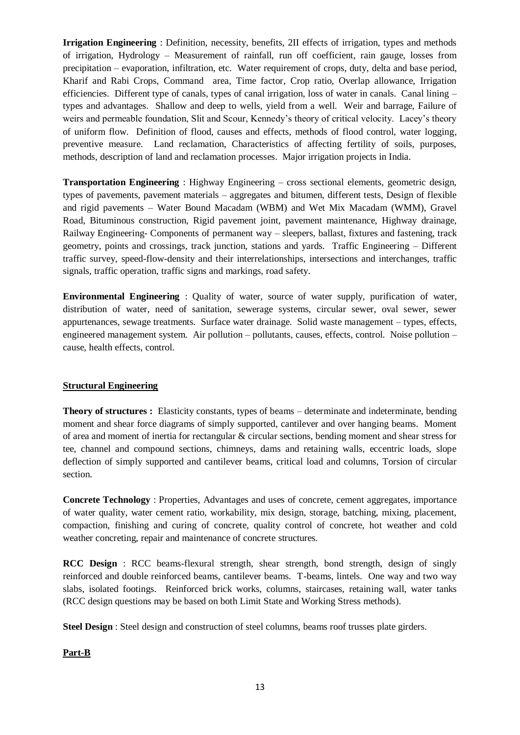**Irrigation Engineering** : Definition, necessity, benefits, 2II effects of irrigation, types and methods of irrigation, Hydrology – Measurement of rainfall, run off coefficient, rain gauge, losses from precipitation – evaporation, infiltration, etc. Water requirement of crops, duty, delta and base period, Kharif and Rabi Crops, Command area, Time factor, Crop ratio, Overlap allowance, Irrigation efficiencies. Different type of canals, types of canal irrigation, loss of water in canals. Canal lining – types and advantages. Shallow and deep to wells, yield from a well. Weir and barrage, Failure of weirs and permeable foundation, Slit and Scour, Kennedy's theory of critical velocity. Lacey's theory of uniform flow. Definition of flood, causes and effects, methods of flood control, water logging, preventive measure. Land reclamation, Characteristics of affecting fertility of soils, purposes, methods, description of land and reclamation processes. Major irrigation projects in India.

**Transportation Engineering** : Highway Engineering – cross sectional elements, geometric design, types of pavements, pavement materials – aggregates and bitumen, different tests, Design of flexible and rigid pavements – Water Bound Macadam (WBM) and Wet Mix Macadam (WMM), Gravel Road, Bituminous construction, Rigid pavement joint, pavement maintenance, Highway drainage, Railway Engineering- Components of permanent way – sleepers, ballast, fixtures and fastening, track geometry, points and crossings, track junction, stations and yards. Traffic Engineering – Different traffic survey, speed-flow-density and their interrelationships, intersections and interchanges, traffic signals, traffic operation, traffic signs and markings, road safety.

**Environmental Engineering** : Quality of water, source of water supply, purification of water, distribution of water, need of sanitation, sewerage systems, circular sewer, oval sewer, sewer appurtenances, sewage treatments. Surface water drainage. Solid waste management – types, effects, engineered management system. Air pollution – pollutants, causes, effects, control. Noise pollution – cause, health effects, control.

### **Structural Engineering**

**Theory of structures :** Elasticity constants, types of beams – determinate and indeterminate, bending moment and shear force diagrams of simply supported, cantilever and over hanging beams. Moment of area and moment of inertia for rectangular & circular sections, bending moment and shear stress for tee, channel and compound sections, chimneys, dams and retaining walls, eccentric loads, slope deflection of simply supported and cantilever beams, critical load and columns, Torsion of circular section.

**Concrete Technology** : Properties, Advantages and uses of concrete, cement aggregates, importance of water quality, water cement ratio, workability, mix design, storage, batching, mixing, placement, compaction, finishing and curing of concrete, quality control of concrete, hot weather and cold weather concreting, repair and maintenance of concrete structures.

**RCC Design** : RCC beams-flexural strength, shear strength, bond strength, design of singly reinforced and double reinforced beams, cantilever beams. T-beams, lintels. One way and two way slabs, isolated footings. Reinforced brick works, columns, staircases, retaining wall, water tanks (RCC design questions may be based on both Limit State and Working Stress methods).

**Steel Design** : Steel design and construction of steel columns, beams roof trusses plate girders.

### **Part-B**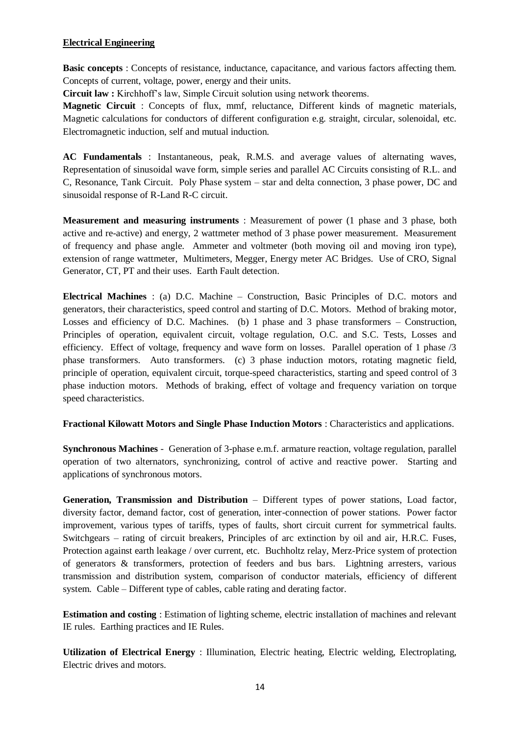### **Electrical Engineering**

**Basic concepts** : Concepts of resistance, inductance, capacitance, and various factors affecting them. Concepts of current, voltage, power, energy and their units.

**Circuit law :** Kirchhoff's law, Simple Circuit solution using network theorems.

**Magnetic Circuit** : Concepts of flux, mmf, reluctance, Different kinds of magnetic materials, Magnetic calculations for conductors of different configuration e.g. straight, circular, solenoidal, etc. Electromagnetic induction, self and mutual induction.

**AC Fundamentals** : Instantaneous, peak, R.M.S. and average values of alternating waves, Representation of sinusoidal wave form, simple series and parallel AC Circuits consisting of R.L. and C, Resonance, Tank Circuit. Poly Phase system – star and delta connection, 3 phase power, DC and sinusoidal response of R-Land R-C circuit.

**Measurement and measuring instruments** : Measurement of power (1 phase and 3 phase, both active and re-active) and energy, 2 wattmeter method of 3 phase power measurement. Measurement of frequency and phase angle. Ammeter and voltmeter (both moving oil and moving iron type), extension of range wattmeter, Multimeters, Megger, Energy meter AC Bridges. Use of CRO, Signal Generator, CT, PT and their uses. Earth Fault detection.

**Electrical Machines** : (a) D.C. Machine – Construction, Basic Principles of D.C. motors and generators, their characteristics, speed control and starting of D.C. Motors. Method of braking motor, Losses and efficiency of D.C. Machines. (b) 1 phase and 3 phase transformers – Construction, Principles of operation, equivalent circuit, voltage regulation, O.C. and S.C. Tests, Losses and efficiency. Effect of voltage, frequency and wave form on losses. Parallel operation of 1 phase /3 phase transformers. Auto transformers. (c) 3 phase induction motors, rotating magnetic field, principle of operation, equivalent circuit, torque-speed characteristics, starting and speed control of 3 phase induction motors. Methods of braking, effect of voltage and frequency variation on torque speed characteristics.

**Fractional Kilowatt Motors and Single Phase Induction Motors** : Characteristics and applications.

**Synchronous Machines** - Generation of 3-phase e.m.f. armature reaction, voltage regulation, parallel operation of two alternators, synchronizing, control of active and reactive power. Starting and applications of synchronous motors.

**Generation, Transmission and Distribution** – Different types of power stations, Load factor, diversity factor, demand factor, cost of generation, inter-connection of power stations. Power factor improvement, various types of tariffs, types of faults, short circuit current for symmetrical faults. Switchgears – rating of circuit breakers, Principles of arc extinction by oil and air, H.R.C. Fuses, Protection against earth leakage / over current, etc. Buchholtz relay, Merz-Price system of protection of generators & transformers, protection of feeders and bus bars. Lightning arresters, various transmission and distribution system, comparison of conductor materials, efficiency of different system. Cable – Different type of cables, cable rating and derating factor.

**Estimation and costing** : Estimation of lighting scheme, electric installation of machines and relevant IE rules. Earthing practices and IE Rules.

**Utilization of Electrical Energy** : Illumination, Electric heating, Electric welding, Electroplating, Electric drives and motors.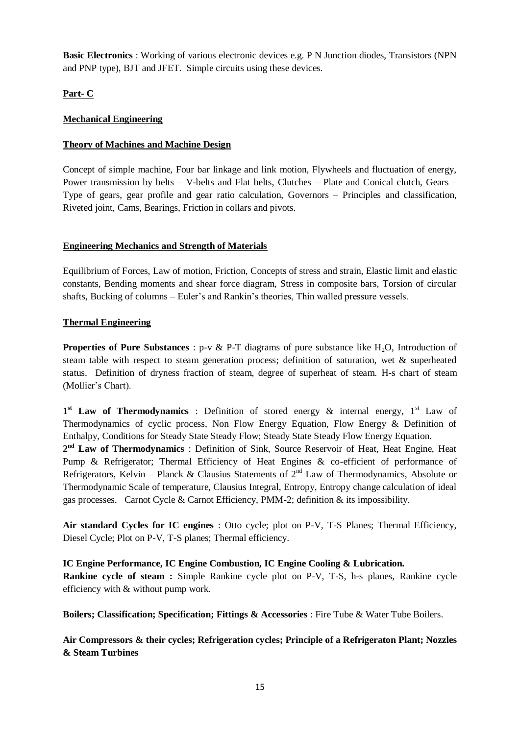**Basic Electronics** : Working of various electronic devices e.g. P N Junction diodes, Transistors (NPN and PNP type), BJT and JFET. Simple circuits using these devices.

**Part- C**

# **Mechanical Engineering**

# **Theory of Machines and Machine Design**

Concept of simple machine, Four bar linkage and link motion, Flywheels and fluctuation of energy, Power transmission by belts – V-belts and Flat belts, Clutches – Plate and Conical clutch, Gears – Type of gears, gear profile and gear ratio calculation, Governors – Principles and classification, Riveted joint, Cams, Bearings, Friction in collars and pivots.

### **Engineering Mechanics and Strength of Materials**

Equilibrium of Forces, Law of motion, Friction, Concepts of stress and strain, Elastic limit and elastic constants, Bending moments and shear force diagram, Stress in composite bars, Torsion of circular shafts, Bucking of columns – Euler's and Rankin's theories, Thin walled pressure vessels.

# **Thermal Engineering**

**Properties of Pure Substances** :  $p-v \& P-T$  diagrams of pure substance like H<sub>2</sub>O, Introduction of steam table with respect to steam generation process; definition of saturation, wet & superheated status. Definition of dryness fraction of steam, degree of superheat of steam. H-s chart of steam (Mollier's Chart).

1<sup>st</sup> Law of Thermodynamics : Definition of stored energy & internal energy, 1<sup>st</sup> Law of Thermodynamics of cyclic process, Non Flow Energy Equation, Flow Energy & Definition of Enthalpy, Conditions for Steady State Steady Flow; Steady State Steady Flow Energy Equation.

2<sup>nd</sup> Law of Thermodynamics : Definition of Sink, Source Reservoir of Heat, Heat Engine, Heat Pump & Refrigerator; Thermal Efficiency of Heat Engines & co-efficient of performance of Refrigerators, Kelvin – Planck & Clausius Statements of  $2<sup>nd</sup>$  Law of Thermodynamics, Absolute or Thermodynamic Scale of temperature, Clausius Integral, Entropy, Entropy change calculation of ideal gas processes. Carnot Cycle & Carnot Efficiency, PMM-2; definition  $\&$  its impossibility.

**Air standard Cycles for IC engines** : Otto cycle; plot on P-V, T-S Planes; Thermal Efficiency, Diesel Cycle; Plot on P-V, T-S planes; Thermal efficiency.

**IC Engine Performance, IC Engine Combustion, IC Engine Cooling & Lubrication. Rankine cycle of steam :** Simple Rankine cycle plot on P-V, T-S, h-s planes, Rankine cycle efficiency with & without pump work.

**Boilers; Classification; Specification; Fittings & Accessories** : Fire Tube & Water Tube Boilers.

**Air Compressors & their cycles; Refrigeration cycles; Principle of a Refrigeraton Plant; Nozzles & Steam Turbines**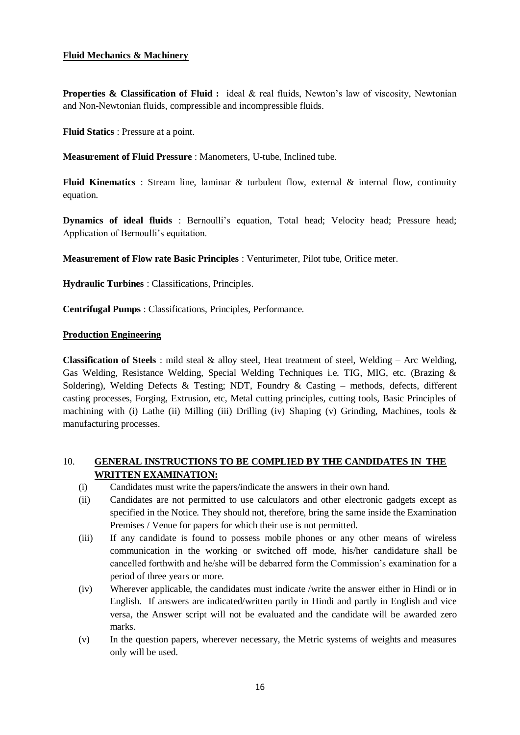#### **Fluid Mechanics & Machinery**

**Properties & Classification of Fluid :** ideal & real fluids, Newton's law of viscosity, Newtonian and Non-Newtonian fluids, compressible and incompressible fluids.

**Fluid Statics** : Pressure at a point.

**Measurement of Fluid Pressure** : Manometers, U-tube, Inclined tube.

**Fluid Kinematics** : Stream line, laminar & turbulent flow, external & internal flow, continuity equation.

**Dynamics of ideal fluids** : Bernoulli's equation, Total head; Velocity head; Pressure head; Application of Bernoulli's equitation.

**Measurement of Flow rate Basic Principles** : Venturimeter, Pilot tube, Orifice meter.

**Hydraulic Turbines** : Classifications, Principles.

**Centrifugal Pumps** : Classifications, Principles, Performance.

#### **Production Engineering**

**Classification of Steels** : mild steal & alloy steel, Heat treatment of steel, Welding – Arc Welding, Gas Welding, Resistance Welding, Special Welding Techniques i.e. TIG, MIG, etc. (Brazing & Soldering), Welding Defects & Testing; NDT, Foundry & Casting – methods, defects, different casting processes, Forging, Extrusion, etc, Metal cutting principles, cutting tools, Basic Principles of machining with (i) Lathe (ii) Milling (iii) Drilling (iv) Shaping (v) Grinding, Machines, tools  $\&$ manufacturing processes.

### 10. **GENERAL INSTRUCTIONS TO BE COMPLIED BY THE CANDIDATES IN THE WRITTEN EXAMINATION:**

- (i) Candidates must write the papers/indicate the answers in their own hand.
- (ii) Candidates are not permitted to use calculators and other electronic gadgets except as specified in the Notice. They should not, therefore, bring the same inside the Examination Premises / Venue for papers for which their use is not permitted.
- (iii) If any candidate is found to possess mobile phones or any other means of wireless communication in the working or switched off mode, his/her candidature shall be cancelled forthwith and he/she will be debarred form the Commission's examination for a period of three years or more.
- (iv) Wherever applicable, the candidates must indicate /write the answer either in Hindi or in English. If answers are indicated/written partly in Hindi and partly in English and vice versa, the Answer script will not be evaluated and the candidate will be awarded zero marks.
- (v) In the question papers, wherever necessary, the Metric systems of weights and measures only will be used.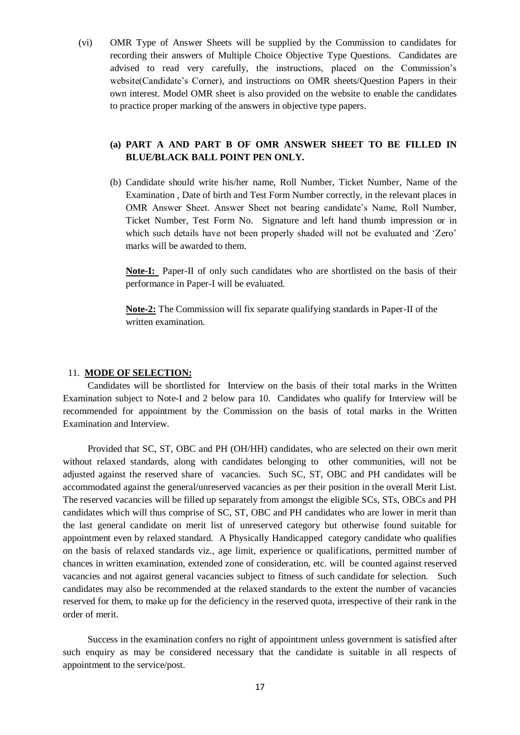(vi) OMR Type of Answer Sheets will be supplied by the Commission to candidates for recording their answers of Multiple Choice Objective Type Questions. Candidates are advised to read very carefully, the instructions, placed on the Commission's website(Candidate's Corner), and instructions on OMR sheets/Question Papers in their own interest. Model OMR sheet is also provided on the website to enable the candidates to practice proper marking of the answers in objective type papers.

# **(a) PART A AND PART B OF OMR ANSWER SHEET TO BE FILLED IN BLUE/BLACK BALL POINT PEN ONLY.**

(b) Candidate should write his/her name, Roll Number, Ticket Number, Name of the Examination , Date of birth and Test Form Number correctly, in the relevant places in OMR Answer Sheet. Answer Sheet not bearing candidate's Name, Roll Number, Ticket Number, Test Form No. Signature and left hand thumb impression or in which such details have not been properly shaded will not be evaluated and 'Zero' marks will be awarded to them.

**Note-I:** Paper-II of only such candidates who are shortlisted on the basis of their performance in Paper-I will be evaluated.

**Note-2:** The Commission will fix separate qualifying standards in Paper-II of the written examination.

#### 11. **MODE OF SELECTION:**

Candidates will be shortlisted for Interview on the basis of their total marks in the Written Examination subject to Note-I and 2 below para 10. Candidates who qualify for Interview will be recommended for appointment by the Commission on the basis of total marks in the Written Examination and Interview.

Provided that SC, ST, OBC and PH (OH/HH) candidates, who are selected on their own merit without relaxed standards, along with candidates belonging to other communities, will not be adjusted against the reserved share of vacancies. Such SC, ST, OBC and PH candidates will be accommodated against the general/unreserved vacancies as per their position in the overall Merit List. The reserved vacancies will be filled up separately from amongst the eligible SCs, STs, OBCs and PH candidates which will thus comprise of SC, ST, OBC and PH candidates who are lower in merit than the last general candidate on merit list of unreserved category but otherwise found suitable for appointment even by relaxed standard. A Physically Handicapped category candidate who qualifies on the basis of relaxed standards viz., age limit, experience or qualifications, permitted number of chances in written examination, extended zone of consideration, etc. will be counted against reserved vacancies and not against general vacancies subject to fitness of such candidate for selection. Such candidates may also be recommended at the relaxed standards to the extent the number of vacancies reserved for them, to make up for the deficiency in the reserved quota, irrespective of their rank in the order of merit.

Success in the examination confers no right of appointment unless government is satisfied after such enquiry as may be considered necessary that the candidate is suitable in all respects of appointment to the service/post.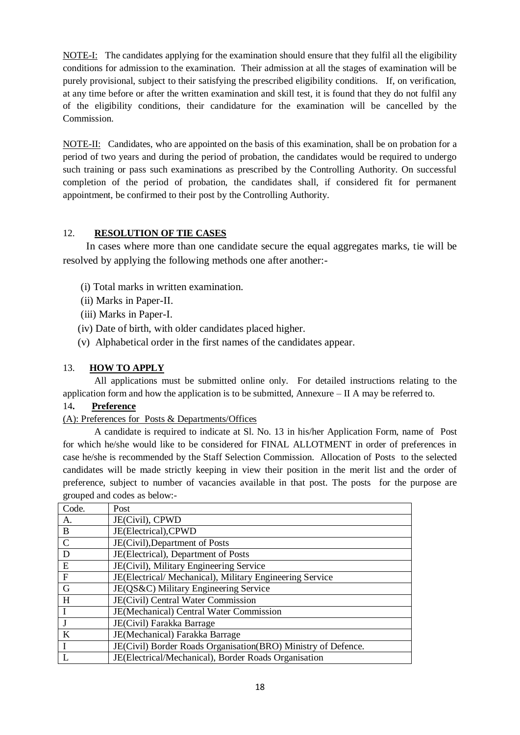NOTE-I: The candidates applying for the examination should ensure that they fulfil all the eligibility conditions for admission to the examination. Their admission at all the stages of examination will be purely provisional, subject to their satisfying the prescribed eligibility conditions. If, on verification, at any time before or after the written examination and skill test, it is found that they do not fulfil any of the eligibility conditions, their candidature for the examination will be cancelled by the Commission.

NOTE-II: Candidates, who are appointed on the basis of this examination, shall be on probation for a period of two years and during the period of probation, the candidates would be required to undergo such training or pass such examinations as prescribed by the Controlling Authority. On successful completion of the period of probation, the candidates shall, if considered fit for permanent appointment, be confirmed to their post by the Controlling Authority.

# 12. **RESOLUTION OF TIE CASES**

 In cases where more than one candidate secure the equal aggregates marks, tie will be resolved by applying the following methods one after another:-

- (i) Total marks in written examination.
- (ii) Marks in Paper-II.
- (iii) Marks in Paper-I.
- (iv) Date of birth, with older candidates placed higher.
- (v) Alphabetical order in the first names of the candidates appear.

### 13. **HOW TO APPLY**

All applications must be submitted online only. For detailed instructions relating to the application form and how the application is to be submitted, Annexure  $-$  II A may be referred to.

### 14**. Preference**

### (A): Preferences for Posts & Departments/Offices

A candidate is required to indicate at Sl. No. 13 in his/her Application Form, name of Post for which he/she would like to be considered for FINAL ALLOTMENT in order of preferences in case he/she is recommended by the Staff Selection Commission. Allocation of Posts to the selected candidates will be made strictly keeping in view their position in the merit list and the order of preference, subject to number of vacancies available in that post. The posts for the purpose are grouped and codes as below:-

| Code.         | Post                                                          |
|---------------|---------------------------------------------------------------|
| А.            | JE(Civil), CPWD                                               |
| B             | JE(Electrical), CPWD                                          |
| $\mathcal{C}$ | JE(Civil), Department of Posts                                |
| D             | JE(Electrical), Department of Posts                           |
| E             | JE(Civil), Military Engineering Service                       |
| $\mathbf{F}$  | JE(Electrical/Mechanical), Military Engineering Service       |
| G             | JE(QS&C) Military Engineering Service                         |
| H             | JE(Civil) Central Water Commission                            |
| $\mathbf I$   | JE(Mechanical) Central Water Commission                       |
|               | JE(Civil) Farakka Barrage                                     |
| K             | JE(Mechanical) Farakka Barrage                                |
| $\mathbf I$   | JE(Civil) Border Roads Organisation(BRO) Ministry of Defence. |
|               | JE(Electrical/Mechanical), Border Roads Organisation          |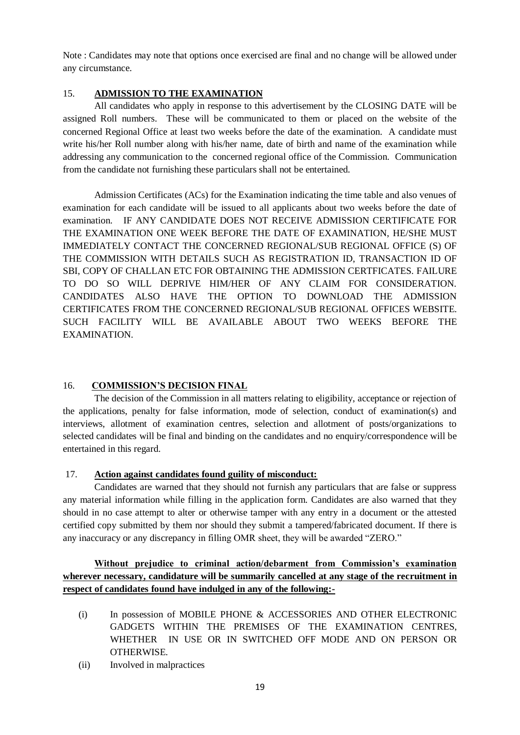Note : Candidates may note that options once exercised are final and no change will be allowed under any circumstance.

# 15. **ADMISSION TO THE EXAMINATION**

All candidates who apply in response to this advertisement by the CLOSING DATE will be assigned Roll numbers. These will be communicated to them or placed on the website of the concerned Regional Office at least two weeks before the date of the examination. A candidate must write his/her Roll number along with his/her name, date of birth and name of the examination while addressing any communication to the concerned regional office of the Commission. Communication from the candidate not furnishing these particulars shall not be entertained.

Admission Certificates (ACs) for the Examination indicating the time table and also venues of examination for each candidate will be issued to all applicants about two weeks before the date of examination. IF ANY CANDIDATE DOES NOT RECEIVE ADMISSION CERTIFICATE FOR THE EXAMINATION ONE WEEK BEFORE THE DATE OF EXAMINATION, HE/SHE MUST IMMEDIATELY CONTACT THE CONCERNED REGIONAL/SUB REGIONAL OFFICE (S) OF THE COMMISSION WITH DETAILS SUCH AS REGISTRATION ID, TRANSACTION ID OF SBI, COPY OF CHALLAN ETC FOR OBTAINING THE ADMISSION CERTFICATES. FAILURE TO DO SO WILL DEPRIVE HIM/HER OF ANY CLAIM FOR CONSIDERATION. CANDIDATES ALSO HAVE THE OPTION TO DOWNLOAD THE ADMISSION CERTIFICATES FROM THE CONCERNED REGIONAL/SUB REGIONAL OFFICES WEBSITE. SUCH FACILITY WILL BE AVAILABLE ABOUT TWO WEEKS BEFORE THE EXAMINATION.

# 16. **COMMISSION'S DECISION FINAL**

The decision of the Commission in all matters relating to eligibility, acceptance or rejection of the applications, penalty for false information, mode of selection, conduct of examination(s) and interviews, allotment of examination centres, selection and allotment of posts/organizations to selected candidates will be final and binding on the candidates and no enquiry/correspondence will be entertained in this regard.

# 17. **Action against candidates found guility of misconduct:**

Candidates are warned that they should not furnish any particulars that are false or suppress any material information while filling in the application form. Candidates are also warned that they should in no case attempt to alter or otherwise tamper with any entry in a document or the attested certified copy submitted by them nor should they submit a tampered/fabricated document. If there is any inaccuracy or any discrepancy in filling OMR sheet, they will be awarded "ZERO."

# **Without prejudice to criminal action/debarment from Commission's examination wherever necessary, candidature will be summarily cancelled at any stage of the recruitment in respect of candidates found have indulged in any of the following:-**

- (i) In possession of MOBILE PHONE & ACCESSORIES AND OTHER ELECTRONIC GADGETS WITHIN THE PREMISES OF THE EXAMINATION CENTRES, WHETHER IN USE OR IN SWITCHED OFF MODE AND ON PERSON OR OTHERWISE.
- (ii) Involved in malpractices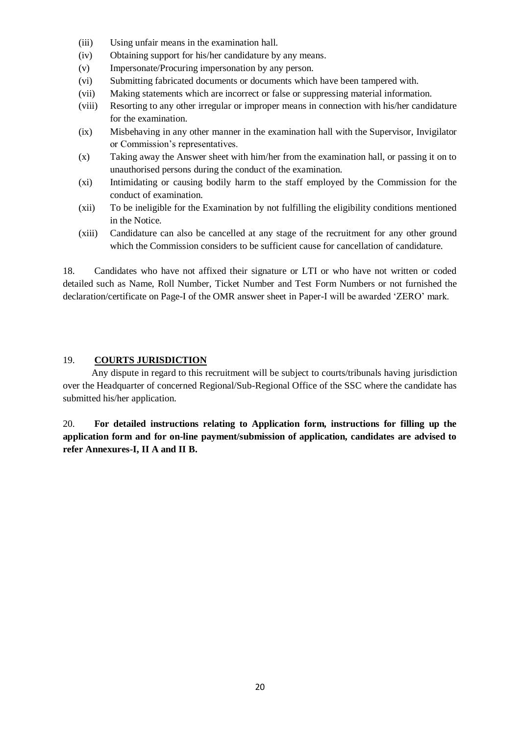- (iii) Using unfair means in the examination hall.
- (iv) Obtaining support for his/her candidature by any means.
- (v) Impersonate/Procuring impersonation by any person.
- (vi) Submitting fabricated documents or documents which have been tampered with.
- (vii) Making statements which are incorrect or false or suppressing material information.
- (viii) Resorting to any other irregular or improper means in connection with his/her candidature for the examination.
- (ix) Misbehaving in any other manner in the examination hall with the Supervisor, Invigilator or Commission's representatives.
- (x) Taking away the Answer sheet with him/her from the examination hall, or passing it on to unauthorised persons during the conduct of the examination.
- (xi) Intimidating or causing bodily harm to the staff employed by the Commission for the conduct of examination.
- (xii) To be ineligible for the Examination by not fulfilling the eligibility conditions mentioned in the Notice.
- (xiii) Candidature can also be cancelled at any stage of the recruitment for any other ground which the Commission considers to be sufficient cause for cancellation of candidature.

18. Candidates who have not affixed their signature or LTI or who have not written or coded detailed such as Name, Roll Number, Ticket Number and Test Form Numbers or not furnished the declaration/certificate on Page-I of the OMR answer sheet in Paper-I will be awarded ‗ZERO' mark.

#### 19. **COURTS JURISDICTION**

 Any dispute in regard to this recruitment will be subject to courts/tribunals having jurisdiction over the Headquarter of concerned Regional/Sub-Regional Office of the SSC where the candidate has submitted his/her application.

20. **For detailed instructions relating to Application form, instructions for filling up the application form and for on-line payment/submission of application, candidates are advised to refer Annexures-I, II A and II B.**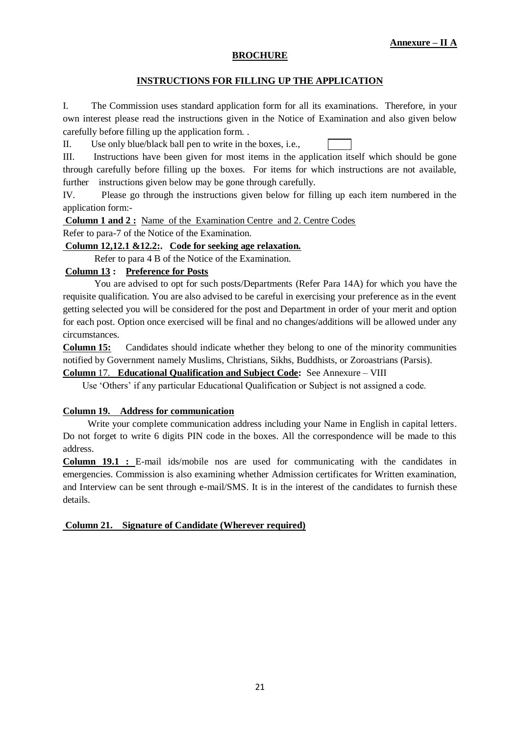#### **BROCHURE**

### **INSTRUCTIONS FOR FILLING UP THE APPLICATION**

I. The Commission uses standard application form for all its examinations. Therefore, in your own interest please read the instructions given in the Notice of Examination and also given below carefully before filling up the application form. .

II. Use only blue/black ball pen to write in the boxes, i.e.,

III. Instructions have been given for most items in the application itself which should be gone through carefully before filling up the boxes. For items for which instructions are not available, further instructions given below may be gone through carefully.

IV. Please go through the instructions given below for filling up each item numbered in the application form:-

**Column 1 and 2 :** Name of the Examination Centre and 2. Centre Codes

Refer to para-7 of the Notice of the Examination.

#### **Column 12,12.1 &12.2:. Code for seeking age relaxation.**

Refer to para 4 B of the Notice of the Examination.

## **Column 13 : Preference for Posts**

You are advised to opt for such posts/Departments (Refer Para 14A) for which you have the requisite qualification. You are also advised to be careful in exercising your preference as in the event getting selected you will be considered for the post and Department in order of your merit and option for each post. Option once exercised will be final and no changes/additions will be allowed under any circumstances.

**Column 15:** Candidates should indicate whether they belong to one of the minority communities notified by Government namely Muslims, Christians, Sikhs, Buddhists, or Zoroastrians (Parsis).

**Column** 17. **Educational Qualification and Subject Code:** See Annexure – VIII

Use 'Others' if any particular Educational Qualification or Subject is not assigned a code.

#### **Column 19. Address for communication**

Write your complete communication address including your Name in English in capital letters. Do not forget to write 6 digits PIN code in the boxes. All the correspondence will be made to this address.

**Column 19.1 :** E-mail ids/mobile nos are used for communicating with the candidates in emergencies. Commission is also examining whether Admission certificates for Written examination, and Interview can be sent through e-mail/SMS. It is in the interest of the candidates to furnish these details.

#### **Column 21. Signature of Candidate (Wherever required)**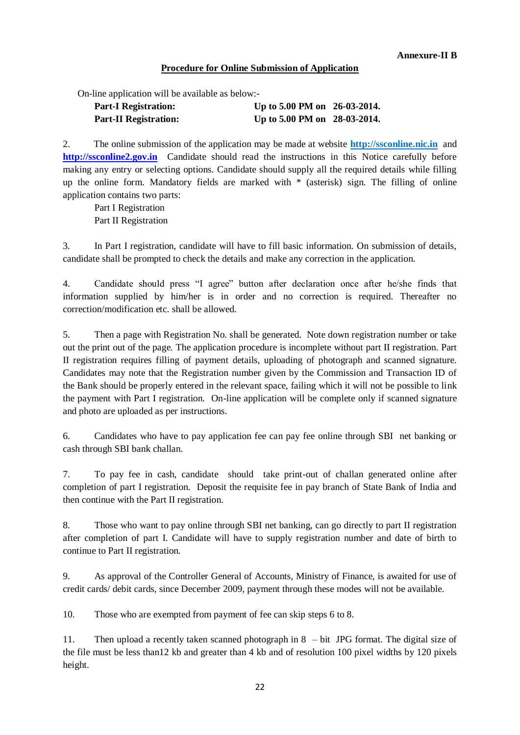## **Procedure for Online Submission of Application**

On-line application will be available as below:-

| <b>Part-I Registration:</b>  | Up to 5.00 PM on 26-03-2014. |  |
|------------------------------|------------------------------|--|
| <b>Part-II Registration:</b> | Up to 5.00 PM on 28-03-2014. |  |

2. The online submission of the application may be made at website **[http://ssconline.](http://ssconline/)nic.in** and **[http://ssconline2.gov.in](http://ssconline2.gov.in/)** Candidate should read the instructions in this Notice carefully before making any entry or selecting options. Candidate should supply all the required details while filling up the online form. Mandatory fields are marked with \* (asterisk) sign. The filling of online application contains two parts:

Part I Registration Part II Registration

3. In Part I registration, candidate will have to fill basic information. On submission of details, candidate shall be prompted to check the details and make any correction in the application.

4. Candidate should press "I agree" button after declaration once after he/she finds that information supplied by him/her is in order and no correction is required. Thereafter no correction/modification etc. shall be allowed.

5. Then a page with Registration No. shall be generated. Note down registration number or take out the print out of the page. The application procedure is incomplete without part II registration. Part II registration requires filling of payment details, uploading of photograph and scanned signature. Candidates may note that the Registration number given by the Commission and Transaction ID of the Bank should be properly entered in the relevant space, failing which it will not be possible to link the payment with Part I registration. On-line application will be complete only if scanned signature and photo are uploaded as per instructions.

6. Candidates who have to pay application fee can pay fee online through SBI net banking or cash through SBI bank challan.

7. To pay fee in cash, candidate should take print-out of challan generated online after completion of part I registration. Deposit the requisite fee in pay branch of State Bank of India and then continue with the Part II registration.

8. Those who want to pay online through SBI net banking, can go directly to part II registration after completion of part I. Candidate will have to supply registration number and date of birth to continue to Part II registration.

9. As approval of the Controller General of Accounts, Ministry of Finance, is awaited for use of credit cards/ debit cards, since December 2009, payment through these modes will not be available.

10. Those who are exempted from payment of fee can skip steps 6 to 8.

11. Then upload a recently taken scanned photograph in 8 – bit JPG format. The digital size of the file must be less than12 kb and greater than 4 kb and of resolution 100 pixel widths by 120 pixels height.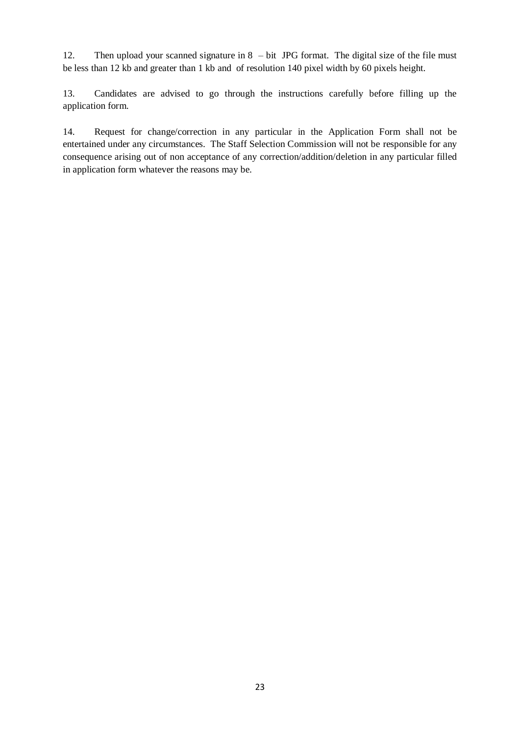12. Then upload your scanned signature in 8 – bit JPG format. The digital size of the file must be less than 12 kb and greater than 1 kb and of resolution 140 pixel width by 60 pixels height.

13. Candidates are advised to go through the instructions carefully before filling up the application form.

14. Request for change/correction in any particular in the Application Form shall not be entertained under any circumstances. The Staff Selection Commission will not be responsible for any consequence arising out of non acceptance of any correction/addition/deletion in any particular filled in application form whatever the reasons may be.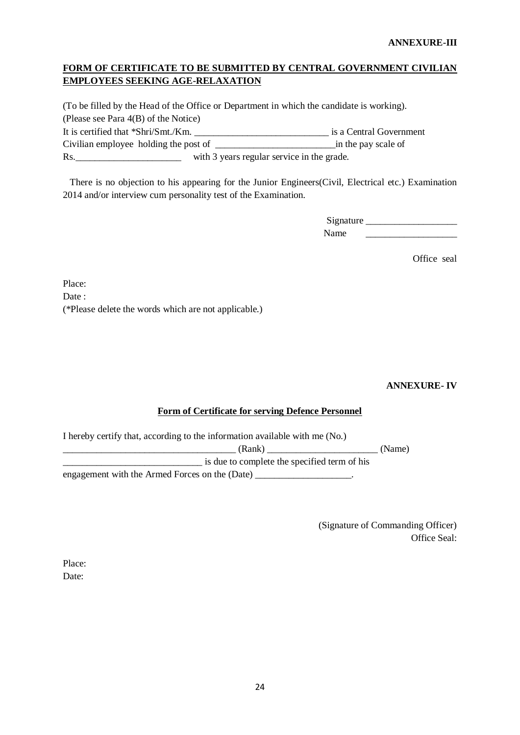#### **ANNEXURE-III**

# **FORM OF CERTIFICATE TO BE SUBMITTED BY CENTRAL GOVERNMENT CIVILIAN EMPLOYEES SEEKING AGE-RELAXATION**

(To be filled by the Head of the Office or Department in which the candidate is working). (Please see Para 4(B) of the Notice) It is certified that \*Shri/Smt./Km. \_\_\_\_\_\_\_\_\_\_\_\_\_\_\_\_\_\_\_\_\_\_\_\_\_\_\_\_ is a Central Government Civilian employee holding the post of \_\_\_\_\_\_\_\_\_\_\_\_\_\_\_\_\_\_\_\_\_\_\_\_\_in the pay scale of

Rs. \_\_\_\_\_\_\_\_\_\_\_\_\_\_\_\_\_\_\_\_\_\_\_\_\_\_\_\_ with 3 years regular service in the grade.

 There is no objection to his appearing for the Junior Engineers(Civil, Electrical etc.) Examination 2014 and/or interview cum personality test of the Examination.

> Signature \_\_\_\_\_\_\_\_\_\_\_\_\_\_\_\_\_\_\_ Name \_\_\_\_\_\_

> > Office seal

Place: Date: (\*Please delete the words which are not applicable.)

 **ANNEXURE- IV**

### **Form of Certificate for serving Defence Personnel**

I hereby certify that, according to the information available with me (No.)

\_\_\_\_\_\_\_\_\_\_\_\_\_\_\_\_\_\_\_\_\_\_\_\_\_\_\_\_\_\_\_\_\_\_\_\_ (Rank) \_\_\_\_\_\_\_\_\_\_\_\_\_\_\_\_\_\_\_\_\_\_\_ (Name) \_\_\_\_\_\_\_\_\_\_\_\_\_\_\_\_\_\_\_\_\_\_\_\_\_\_\_\_\_ is due to complete the specified term of his

engagement with the Armed Forces on the (Date)

 (Signature of Commanding Officer) Office Seal:

Place: Date: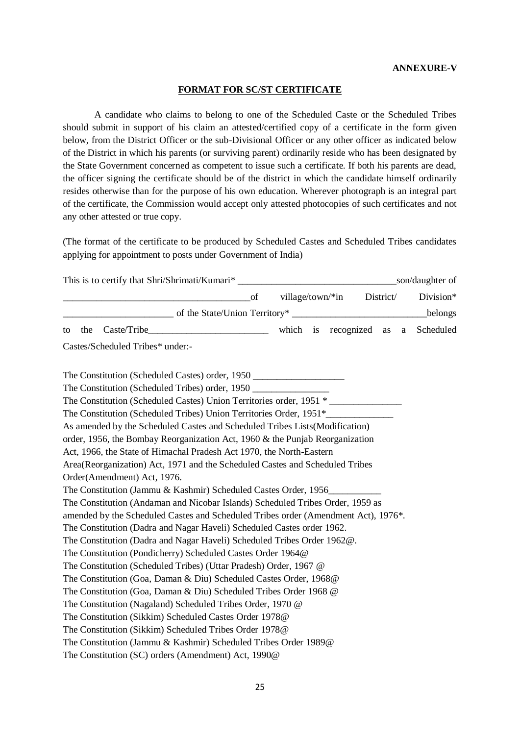#### **ANNEXURE-V**

#### **FORMAT FOR SC/ST CERTIFICATE**

A candidate who claims to belong to one of the Scheduled Caste or the Scheduled Tribes should submit in support of his claim an attested/certified copy of a certificate in the form given below, from the District Officer or the sub-Divisional Officer or any other officer as indicated below of the District in which his parents (or surviving parent) ordinarily reside who has been designated by the State Government concerned as competent to issue such a certificate. If both his parents are dead, the officer signing the certificate should be of the district in which the candidate himself ordinarily resides otherwise than for the purpose of his own education. Wherever photograph is an integral part of the certificate, the Commission would accept only attested photocopies of such certificates and not any other attested or true copy.

(The format of the certificate to be produced by Scheduled Castes and Scheduled Tribes candidates applying for appointment to posts under Government of India)

|           |                                                                                    |                               | of |                     | village/town/*in District/ |    |   | Division* |
|-----------|------------------------------------------------------------------------------------|-------------------------------|----|---------------------|----------------------------|----|---|-----------|
|           |                                                                                    | of the State/Union Territory* |    |                     |                            |    |   | belongs   |
| the<br>to |                                                                                    |                               |    | which is recognized |                            | as | a | Scheduled |
|           | Castes/Scheduled Tribes* under:-                                                   |                               |    |                     |                            |    |   |           |
|           | The Constitution (Scheduled Castes) order, 1950                                    |                               |    |                     |                            |    |   |           |
|           | The Constitution (Scheduled Tribes) order, 1950 _________________________________  |                               |    |                     |                            |    |   |           |
|           | The Constitution (Scheduled Castes) Union Territories order, 1951 *                |                               |    |                     |                            |    |   |           |
|           | The Constitution (Scheduled Tribes) Union Territories Order, 1951*                 |                               |    |                     |                            |    |   |           |
|           | As amended by the Scheduled Castes and Scheduled Tribes Lists (Modification)       |                               |    |                     |                            |    |   |           |
|           | order, 1956, the Bombay Reorganization Act, 1960 $\&$ the Punjab Reorganization    |                               |    |                     |                            |    |   |           |
|           | Act, 1966, the State of Himachal Pradesh Act 1970, the North-Eastern               |                               |    |                     |                            |    |   |           |
|           | Area(Reorganization) Act, 1971 and the Scheduled Castes and Scheduled Tribes       |                               |    |                     |                            |    |   |           |
|           | Order(Amendment) Act, 1976.                                                        |                               |    |                     |                            |    |   |           |
|           | The Constitution (Jammu & Kashmir) Scheduled Castes Order, 1956                    |                               |    |                     |                            |    |   |           |
|           | The Constitution (Andaman and Nicobar Islands) Scheduled Tribes Order, 1959 as     |                               |    |                     |                            |    |   |           |
|           | amended by the Scheduled Castes and Scheduled Tribes order (Amendment Act), 1976*. |                               |    |                     |                            |    |   |           |
|           | The Constitution (Dadra and Nagar Haveli) Scheduled Castes order 1962.             |                               |    |                     |                            |    |   |           |
|           | The Constitution (Dadra and Nagar Haveli) Scheduled Tribes Order 1962@.            |                               |    |                     |                            |    |   |           |
|           | The Constitution (Pondicherry) Scheduled Castes Order 1964@                        |                               |    |                     |                            |    |   |           |
|           | The Constitution (Scheduled Tribes) (Uttar Pradesh) Order, 1967 @                  |                               |    |                     |                            |    |   |           |
|           | The Constitution (Goa, Daman & Diu) Scheduled Castes Order, 1968@                  |                               |    |                     |                            |    |   |           |
|           | The Constitution (Goa, Daman & Diu) Scheduled Tribes Order 1968 @                  |                               |    |                     |                            |    |   |           |
|           | The Constitution (Nagaland) Scheduled Tribes Order, 1970 @                         |                               |    |                     |                            |    |   |           |
|           | The Constitution (Sikkim) Scheduled Castes Order 1978@                             |                               |    |                     |                            |    |   |           |
|           | The Constitution (Sikkim) Scheduled Tribes Order 1978@                             |                               |    |                     |                            |    |   |           |
|           | The Constitution (Jammu & Kashmir) Scheduled Tribes Order 1989@                    |                               |    |                     |                            |    |   |           |
|           | The Constitution (SC) orders (Amendment) Act, 1990@                                |                               |    |                     |                            |    |   |           |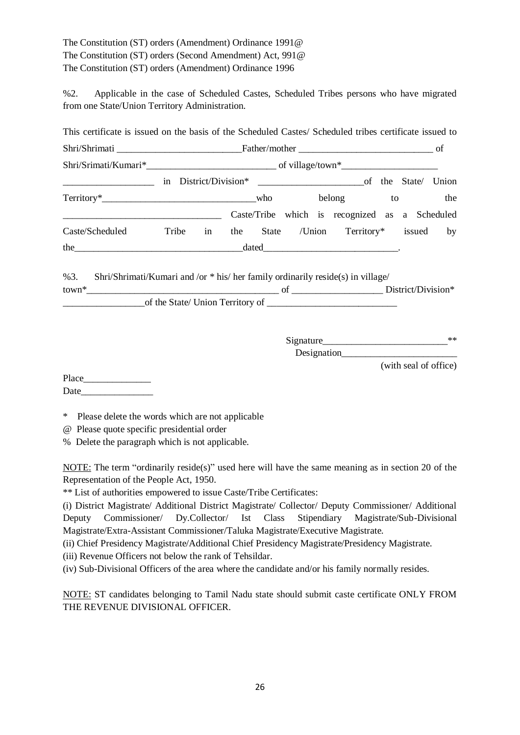The Constitution (ST) orders (Amendment) Ordinance 1991@ The Constitution (ST) orders (Second Amendment) Act, 991@ The Constitution (ST) orders (Amendment) Ordinance 1996

%2. Applicable in the case of Scheduled Castes, Scheduled Tribes persons who have migrated from one State/Union Territory Administration.

| Shri/Shrimati entertainments and the Father/mother entertainments and the Shrimati entertainments of                                                                                                                          |  |  |  |                                       |                       |     |
|-------------------------------------------------------------------------------------------------------------------------------------------------------------------------------------------------------------------------------|--|--|--|---------------------------------------|-----------------------|-----|
|                                                                                                                                                                                                                               |  |  |  |                                       |                       |     |
|                                                                                                                                                                                                                               |  |  |  |                                       |                       |     |
|                                                                                                                                                                                                                               |  |  |  |                                       |                       | the |
| Caste/Tribe which is recognized as a Scheduled                                                                                                                                                                                |  |  |  |                                       |                       |     |
| Caste/Scheduled Tribe in                                                                                                                                                                                                      |  |  |  | the State /Union Territory* issued by |                       |     |
| the 100 million and the contract of the contract of the dated 100 million and the contract of the contract of the contract of the contract of the contract of the contract of the contract of the contract of the contract of |  |  |  |                                       |                       |     |
| %3. Shri/Shrimati/Kumari and /or * his/ her family ordinarily reside(s) in village/                                                                                                                                           |  |  |  |                                       |                       |     |
|                                                                                                                                                                                                                               |  |  |  |                                       |                       |     |
|                                                                                                                                                                                                                               |  |  |  |                                       |                       |     |
|                                                                                                                                                                                                                               |  |  |  |                                       |                       |     |
|                                                                                                                                                                                                                               |  |  |  | Designation                           |                       |     |
|                                                                                                                                                                                                                               |  |  |  |                                       | (with seal of office) |     |
|                                                                                                                                                                                                                               |  |  |  |                                       |                       |     |

\* Please delete the words which are not applicable

@ Please quote specific presidential order

% Delete the paragraph which is not applicable.

NOTE: The term "ordinarily reside(s)" used here will have the same meaning as in section 20 of the Representation of the People Act, 1950.

\*\* List of authorities empowered to issue Caste/Tribe Certificates:

(i) District Magistrate/ Additional District Magistrate/ Collector/ Deputy Commissioner/ Additional Deputy Commissioner/ Dy.Collector/ Ist Class Stipendiary Magistrate/Sub-Divisional Magistrate/Extra-Assistant Commissioner/Taluka Magistrate/Executive Magistrate.

(ii) Chief Presidency Magistrate/Additional Chief Presidency Magistrate/Presidency Magistrate.

(iii) Revenue Officers not below the rank of Tehsildar.

(iv) Sub-Divisional Officers of the area where the candidate and/or his family normally resides.

NOTE: ST candidates belonging to Tamil Nadu state should submit caste certificate ONLY FROM THE REVENUE DIVISIONAL OFFICER.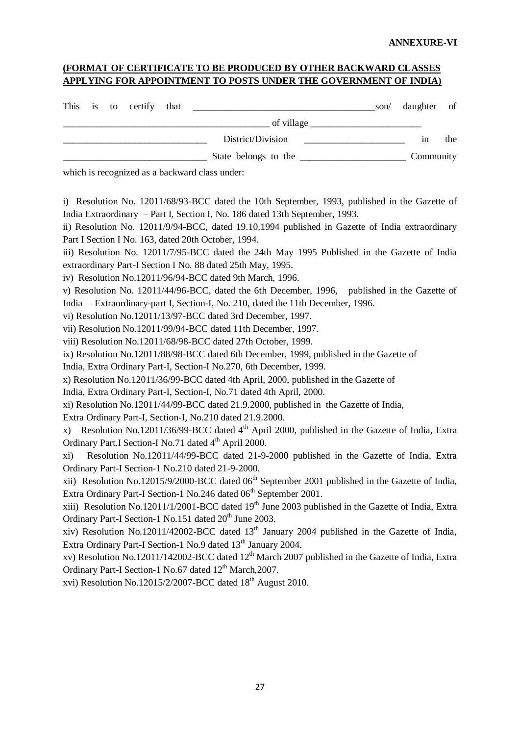## **(FORMAT OF CERTIFICATE TO BE PRODUCED BY OTHER BACKWARD CLASSES APPLYING FOR APPOINTMENT TO POSTS UNDER THE GOVERNMENT OF INDIA)**

|  | This is to certify that |                      | son/ | daughter of |     |
|--|-------------------------|----------------------|------|-------------|-----|
|  |                         | of village $\_\_$    |      |             |     |
|  |                         | District/Division    |      | 1n          | the |
|  |                         | State belongs to the |      | Community   |     |

which is recognized as a backward class under:

i) Resolution No. 12011/68/93-BCC dated the 10th September, 1993, published in the Gazette of India Extraordinary – Part I, Section I, No. 186 dated 13th September, 1993.

ii) Resolution No. 12011/9/94-BCC, dated 19.10.1994 published in Gazette of India extraordinary Part I Section I No. 163, dated 20th October, 1994.

iii) Resolution No. 12011/7/95-BCC dated the 24th May 1995 Published in the Gazette of India extraordinary Part-I Section I No. 88 dated 25th May, 1995.

iv) Resolution No.12011/96/94-BCC dated 9th March, 1996.

v) Resolution No. 12011/44/96-BCC, dated the 6th December, 1996, published in the Gazette of India – Extraordinary-part I, Section-I, No. 210, dated the 11th December, 1996.

vi) Resolution No.12011/13/97-BCC dated 3rd December, 1997.

vii) Resolution No.12011/99/94-BCC dated 11th December, 1997.

viii) Resolution No.12011/68/98-BCC dated 27th October, 1999.

ix) Resolution No.12011/88/98-BCC dated 6th December, 1999, published in the Gazette of

India, Extra Ordinary Part-I, Section-I No.270, 6th December, 1999.

x) Resolution No.12011/36/99-BCC dated 4th April, 2000, published in the Gazette of

India, Extra Ordinary Part-I, Section-I, No.71 dated 4th April, 2000.

xi) Resolution No.12011/44/99-BCC dated 21.9.2000, published in the Gazette of India,

Extra Ordinary Part-I, Section-I, No.210 dated 21.9.2000.

x) Resolution No.12011/36/99-BCC dated  $4<sup>th</sup>$  April 2000, published in the Gazette of India, Extra Ordinary Part.I Section-I No.71 dated 4<sup>th</sup> April 2000.

xi) Resolution No.12011/44/99-BCC dated 21-9-2000 published in the Gazette of India, Extra Ordinary Part-I Section-1 No.210 dated 21-9-2000.

xii) Resolution No.12015/9/2000-BCC dated 06<sup>th</sup> September 2001 published in the Gazette of India, Extra Ordinary Part-I Section-1 No.246 dated 06<sup>th</sup> September 2001.

xiii) Resolution No.12011/1/2001-BCC dated  $19<sup>th</sup>$  June 2003 published in the Gazette of India, Extra Ordinary Part-I Section-1 No.151 dated 20<sup>th</sup> June 2003.

xiv) Resolution No.12011/42002-BCC dated 13<sup>th</sup> January 2004 published in the Gazette of India, Extra Ordinary Part-I Section-1 No.9 dated 13<sup>th</sup> January 2004.

xv) Resolution No.12011/142002-BCC dated  $12<sup>th</sup>$  March 2007 published in the Gazette of India, Extra Ordinary Part-I Section-1 No.67 dated 12<sup>th</sup> March, 2007.

xvi) Resolution No.12015/2/2007-BCC dated  $18<sup>th</sup>$  August 2010.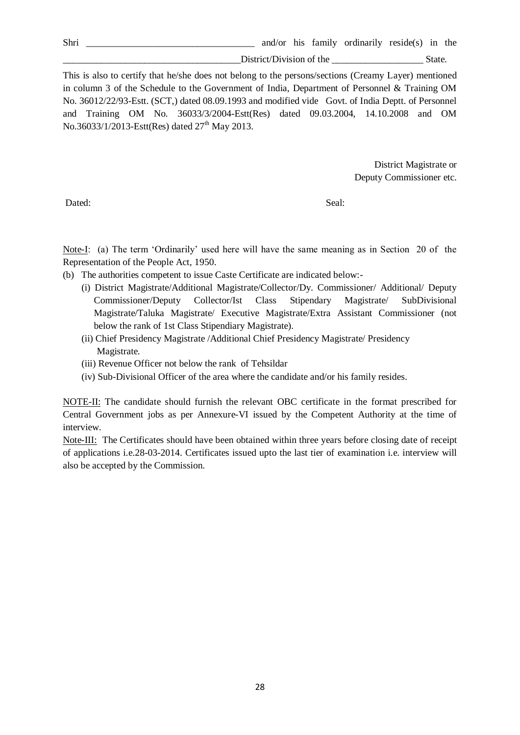District/Division of the State.

This is also to certify that he/she does not belong to the persons/sections (Creamy Layer) mentioned in column 3 of the Schedule to the Government of India, Department of Personnel & Training OM No. 36012/22/93-Estt. (SCT,) dated 08.09.1993 and modified vide Govt. of India Deptt. of Personnel and Training OM No. 36033/3/2004-Estt(Res) dated 09.03.2004, 14.10.2008 and OM No.36033/1/2013-Estt(Res) dated  $27<sup>th</sup>$  May 2013.

> District Magistrate or Deputy Commissioner etc.

Dated: Seal:

Note-I: (a) The term 'Ordinarily' used here will have the same meaning as in Section 20 of the Representation of the People Act, 1950.

- (b) The authorities competent to issue Caste Certificate are indicated below:-
	- (i) District Magistrate/Additional Magistrate/Collector/Dy. Commissioner/ Additional/ Deputy Commissioner/Deputy Collector/Ist Class Stipendary Magistrate/ SubDivisional Magistrate/Taluka Magistrate/ Executive Magistrate/Extra Assistant Commissioner (not below the rank of 1st Class Stipendiary Magistrate).
	- (ii) Chief Presidency Magistrate /Additional Chief Presidency Magistrate/ Presidency Magistrate.
	- (iii) Revenue Officer not below the rank of Tehsildar
	- (iv) Sub-Divisional Officer of the area where the candidate and/or his family resides.

NOTE-II: The candidate should furnish the relevant OBC certificate in the format prescribed for Central Government jobs as per Annexure-VI issued by the Competent Authority at the time of interview.

Note-III: The Certificates should have been obtained within three years before closing date of receipt of applications i.e.28-03-2014. Certificates issued upto the last tier of examination i.e. interview will also be accepted by the Commission.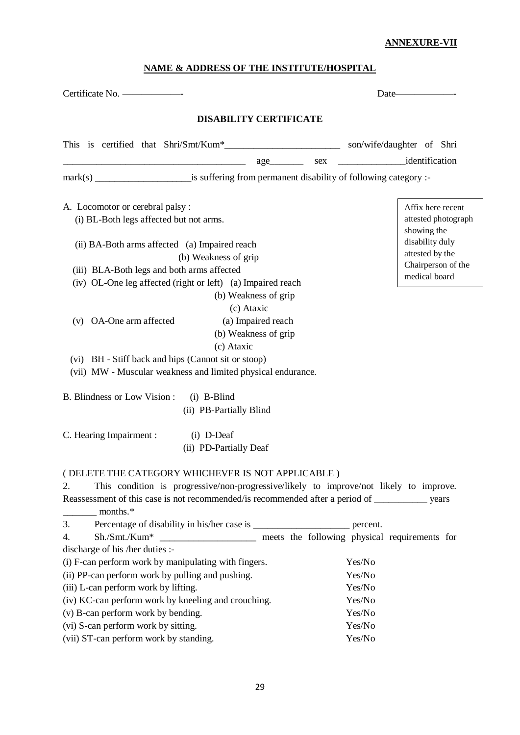# **ANNEXURE-VII**

# **NAME & ADDRESS OF THE INSTITUTE/HOSPITAL**

|                                                                                                                                                                                                                                                                       | Date <u>________________</u>                            |  |  |
|-----------------------------------------------------------------------------------------------------------------------------------------------------------------------------------------------------------------------------------------------------------------------|---------------------------------------------------------|--|--|
| <b>DISABILITY CERTIFICATE</b>                                                                                                                                                                                                                                         |                                                         |  |  |
|                                                                                                                                                                                                                                                                       |                                                         |  |  |
|                                                                                                                                                                                                                                                                       |                                                         |  |  |
|                                                                                                                                                                                                                                                                       |                                                         |  |  |
| A. Locomotor or cerebral palsy:<br>(i) BL-Both legs affected but not arms.                                                                                                                                                                                            | Affix here recent<br>attested photograph<br>showing the |  |  |
| (ii) BA-Both arms affected (a) Impaired reach                                                                                                                                                                                                                         | disability duly                                         |  |  |
| (b) Weakness of grip                                                                                                                                                                                                                                                  | attested by the<br>Chairperson of the                   |  |  |
| (iii) BLA-Both legs and both arms affected                                                                                                                                                                                                                            | medical board                                           |  |  |
| (iv) OL-One leg affected (right or left) (a) Impaired reach                                                                                                                                                                                                           |                                                         |  |  |
| (b) Weakness of grip                                                                                                                                                                                                                                                  |                                                         |  |  |
| (c) Ataxic                                                                                                                                                                                                                                                            |                                                         |  |  |
| (v) OA-One arm affected<br>(a) Impaired reach<br>(b) Weakness of grip                                                                                                                                                                                                 |                                                         |  |  |
| (c) Ataxic                                                                                                                                                                                                                                                            |                                                         |  |  |
| (vi) BH - Stiff back and hips (Cannot sit or stoop)                                                                                                                                                                                                                   |                                                         |  |  |
| (vii) MW - Muscular weakness and limited physical endurance.                                                                                                                                                                                                          |                                                         |  |  |
|                                                                                                                                                                                                                                                                       |                                                         |  |  |
| B. Blindness or Low Vision : (i) B-Blind<br>(ii) PB-Partially Blind                                                                                                                                                                                                   |                                                         |  |  |
| C. Hearing Impairment :<br>$(i)$ D-Deaf                                                                                                                                                                                                                               |                                                         |  |  |
| (ii) PD-Partially Deaf                                                                                                                                                                                                                                                |                                                         |  |  |
| ( DELETE THE CATEGORY WHICHEVER IS NOT APPLICABLE )<br>This condition is progressive/non-progressive/likely to improve/not likely to improve.<br>2.<br>Reassessment of this case is not recommended/is recommended after a period of ______________ years<br>months.* |                                                         |  |  |
| Percentage of disability in his/her case is _________________________ percent.<br>3.                                                                                                                                                                                  |                                                         |  |  |
| Sh./Smt./Kum* ______________________ meets the following physical requirements for<br>4.                                                                                                                                                                              |                                                         |  |  |
| discharge of his /her duties :-                                                                                                                                                                                                                                       |                                                         |  |  |
| (i) F-can perform work by manipulating with fingers.                                                                                                                                                                                                                  | Yes/No                                                  |  |  |
| (ii) PP-can perform work by pulling and pushing.                                                                                                                                                                                                                      | Yes/No                                                  |  |  |
| (iii) L-can perform work by lifting.                                                                                                                                                                                                                                  | Yes/No                                                  |  |  |
| (iv) KC-can perform work by kneeling and crouching.                                                                                                                                                                                                                   | Yes/No                                                  |  |  |
| (v) B-can perform work by bending.                                                                                                                                                                                                                                    | Yes/No                                                  |  |  |
| (vi) S-can perform work by sitting.                                                                                                                                                                                                                                   | Yes/No                                                  |  |  |
| (vii) ST-can perform work by standing.                                                                                                                                                                                                                                | Yes/No                                                  |  |  |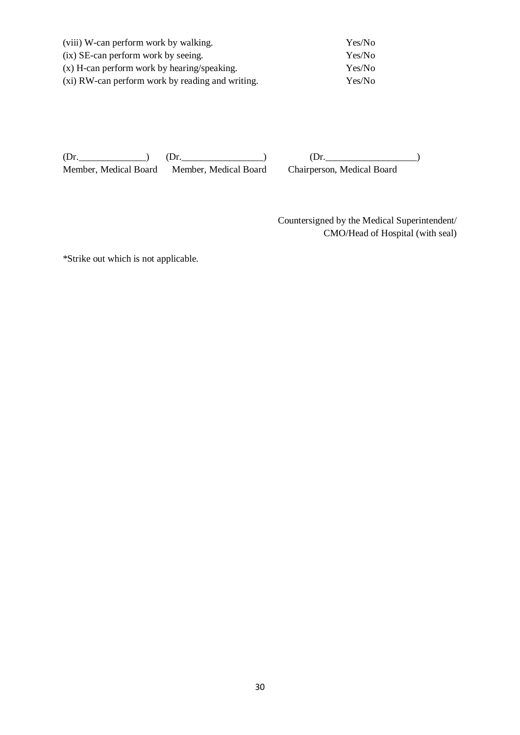| (viii) W-can perform work by walking.            | Yes/No |
|--------------------------------------------------|--------|
| (ix) SE-can perform work by seeing.              | Yes/No |
| (x) H-can perform work by hearing/speaking.      | Yes/No |
| (xi) RW-can perform work by reading and writing. | Yes/No |

 $(Dr.$  (Dr.  $(Dr.$   $(Dr.$ Member, Medical Board Member, Medical Board Chairperson, Medical Board

 Countersigned by the Medical Superintendent/ CMO/Head of Hospital (with seal)

\*Strike out which is not applicable.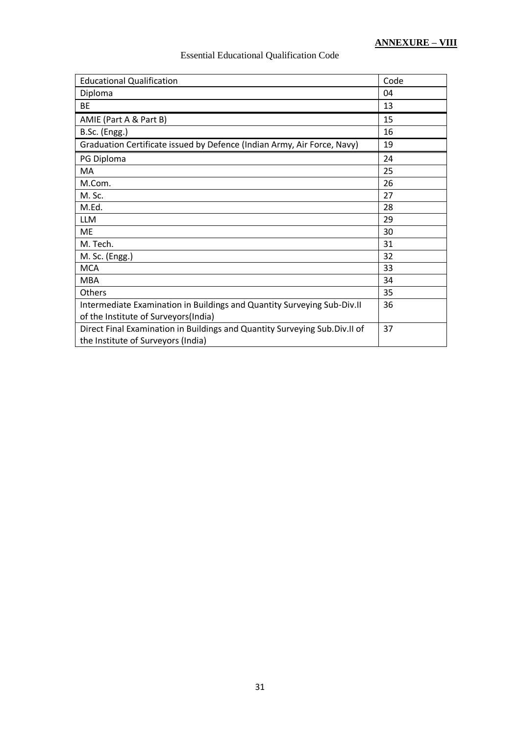| <b>Educational Qualification</b>                                                                                 | Code |
|------------------------------------------------------------------------------------------------------------------|------|
| Diploma                                                                                                          | 04   |
| ВE                                                                                                               | 13   |
| AMIE (Part A & Part B)                                                                                           | 15   |
| B.Sc. (Engg.)                                                                                                    | 16   |
| Graduation Certificate issued by Defence (Indian Army, Air Force, Navy)                                          | 19   |
| PG Diploma                                                                                                       | 24   |
| MA                                                                                                               | 25   |
| M.Com.                                                                                                           | 26   |
| M. Sc.                                                                                                           | 27   |
| M.Ed.                                                                                                            | 28   |
| <b>LLM</b>                                                                                                       | 29   |
| <b>ME</b>                                                                                                        | 30   |
| M. Tech.                                                                                                         | 31   |
| M. Sc. (Engg.)                                                                                                   | 32   |
| <b>MCA</b>                                                                                                       | 33   |
| <b>MBA</b>                                                                                                       | 34   |
| Others                                                                                                           | 35   |
| Intermediate Examination in Buildings and Quantity Surveying Sub-Div.II<br>of the Institute of Surveyors(India)  | 36   |
| Direct Final Examination in Buildings and Quantity Surveying Sub.Div.II of<br>the Institute of Surveyors (India) | 37   |

# Essential Educational Qualification Code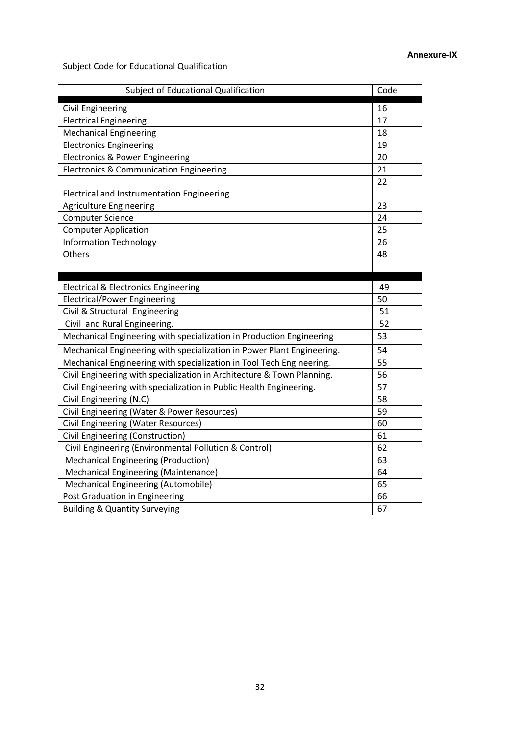Subject Code for Educational Qualification

| Subject of Educational Qualification                                   | Code |
|------------------------------------------------------------------------|------|
| <b>Civil Engineering</b>                                               | 16   |
| <b>Electrical Engineering</b>                                          | 17   |
| <b>Mechanical Engineering</b>                                          | 18   |
| <b>Electronics Engineering</b>                                         | 19   |
| <b>Electronics &amp; Power Engineering</b>                             | 20   |
| <b>Electronics &amp; Communication Engineering</b>                     | 21   |
|                                                                        | 22   |
| Electrical and Instrumentation Engineering                             |      |
| <b>Agriculture Engineering</b>                                         | 23   |
| <b>Computer Science</b>                                                | 24   |
| <b>Computer Application</b>                                            | 25   |
| <b>Information Technology</b>                                          | 26   |
| Others                                                                 | 48   |
|                                                                        |      |
| <b>Electrical &amp; Electronics Engineering</b>                        | 49   |
| <b>Electrical/Power Engineering</b>                                    | 50   |
| Civil & Structural Engineering                                         | 51   |
| Civil and Rural Engineering.                                           | 52   |
| Mechanical Engineering with specialization in Production Engineering   | 53   |
| Mechanical Engineering with specialization in Power Plant Engineering. | 54   |
| Mechanical Engineering with specialization in Tool Tech Engineering.   | 55   |
| Civil Engineering with specialization in Architecture & Town Planning. | 56   |
| Civil Engineering with specialization in Public Health Engineering.    | 57   |
| Civil Engineering (N.C)                                                | 58   |
| Civil Engineering (Water & Power Resources)                            | 59   |
| <b>Civil Engineering (Water Resources)</b>                             | 60   |
| Civil Engineering (Construction)                                       | 61   |
| Civil Engineering (Environmental Pollution & Control)                  | 62   |
| <b>Mechanical Engineering (Production)</b>                             | 63   |
| <b>Mechanical Engineering (Maintenance)</b>                            | 64   |
| Mechanical Engineering (Automobile)                                    | 65   |
| Post Graduation in Engineering                                         | 66   |
| <b>Building &amp; Quantity Surveying</b>                               | 67   |